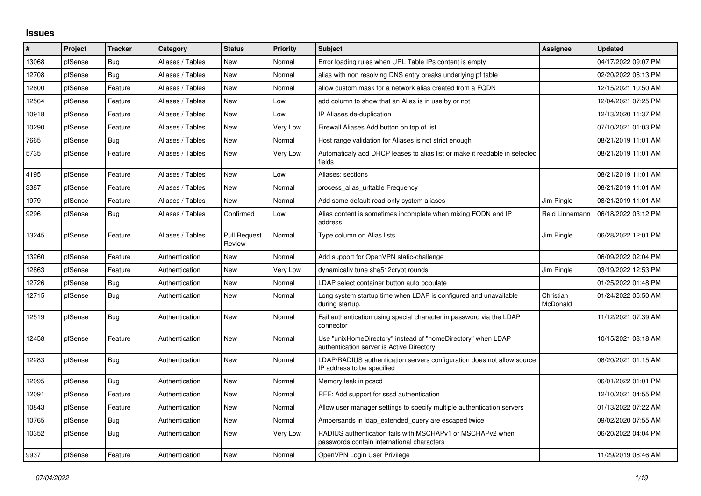## **Issues**

| $\#$  | Project | <b>Tracker</b> | Category         | <b>Status</b>                 | <b>Priority</b> | <b>Subject</b>                                                                                            | Assignee              | <b>Updated</b>      |
|-------|---------|----------------|------------------|-------------------------------|-----------------|-----------------------------------------------------------------------------------------------------------|-----------------------|---------------------|
| 13068 | pfSense | <b>Bug</b>     | Aliases / Tables | <b>New</b>                    | Normal          | Error loading rules when URL Table IPs content is empty                                                   |                       | 04/17/2022 09:07 PM |
| 12708 | pfSense | <b>Bug</b>     | Aliases / Tables | <b>New</b>                    | Normal          | alias with non resolving DNS entry breaks underlying pf table                                             |                       | 02/20/2022 06:13 PM |
| 12600 | pfSense | Feature        | Aliases / Tables | <b>New</b>                    | Normal          | allow custom mask for a network alias created from a FQDN                                                 |                       | 12/15/2021 10:50 AM |
| 12564 | pfSense | Feature        | Aliases / Tables | <b>New</b>                    | Low             | add column to show that an Alias is in use by or not                                                      |                       | 12/04/2021 07:25 PM |
| 10918 | pfSense | Feature        | Aliases / Tables | <b>New</b>                    | Low             | IP Aliases de-duplication                                                                                 |                       | 12/13/2020 11:37 PM |
| 10290 | pfSense | Feature        | Aliases / Tables | New                           | Very Low        | Firewall Aliases Add button on top of list                                                                |                       | 07/10/2021 01:03 PM |
| 7665  | pfSense | <b>Bug</b>     | Aliases / Tables | <b>New</b>                    | Normal          | Host range validation for Aliases is not strict enough                                                    |                       | 08/21/2019 11:01 AM |
| 5735  | pfSense | Feature        | Aliases / Tables | <b>New</b>                    | Very Low        | Automaticaly add DHCP leases to alias list or make it readable in selected<br>fields                      |                       | 08/21/2019 11:01 AM |
| 4195  | pfSense | Feature        | Aliases / Tables | <b>New</b>                    | Low             | Aliases: sections                                                                                         |                       | 08/21/2019 11:01 AM |
| 3387  | pfSense | Feature        | Aliases / Tables | New                           | Normal          | process_alias_urItable Frequency                                                                          |                       | 08/21/2019 11:01 AM |
| 1979  | pfSense | Feature        | Aliases / Tables | New                           | Normal          | Add some default read-only system aliases                                                                 | Jim Pingle            | 08/21/2019 11:01 AM |
| 9296  | pfSense | <b>Bug</b>     | Aliases / Tables | Confirmed                     | Low             | Alias content is sometimes incomplete when mixing FQDN and IP<br>address                                  | Reid Linnemann        | 06/18/2022 03:12 PM |
| 13245 | pfSense | Feature        | Aliases / Tables | <b>Pull Request</b><br>Review | Normal          | Type column on Alias lists                                                                                | Jim Pingle            | 06/28/2022 12:01 PM |
| 13260 | pfSense | Feature        | Authentication   | <b>New</b>                    | Normal          | Add support for OpenVPN static-challenge                                                                  |                       | 06/09/2022 02:04 PM |
| 12863 | pfSense | Feature        | Authentication   | <b>New</b>                    | Very Low        | dynamically tune sha512crypt rounds                                                                       | Jim Pingle            | 03/19/2022 12:53 PM |
| 12726 | pfSense | <b>Bug</b>     | Authentication   | New                           | Normal          | LDAP select container button auto populate                                                                |                       | 01/25/2022 01:48 PM |
| 12715 | pfSense | <b>Bug</b>     | Authentication   | <b>New</b>                    | Normal          | Long system startup time when LDAP is configured and unavailable<br>during startup.                       | Christian<br>McDonald | 01/24/2022 05:50 AM |
| 12519 | pfSense | <b>Bug</b>     | Authentication   | New                           | Normal          | Fail authentication using special character in password via the LDAP<br>connector                         |                       | 11/12/2021 07:39 AM |
| 12458 | pfSense | Feature        | Authentication   | New                           | Normal          | Use "unixHomeDirectory" instead of "homeDirectory" when LDAP<br>authentication server is Active Directory |                       | 10/15/2021 08:18 AM |
| 12283 | pfSense | <b>Bug</b>     | Authentication   | <b>New</b>                    | Normal          | LDAP/RADIUS authentication servers configuration does not allow source<br>IP address to be specified      |                       | 08/20/2021 01:15 AM |
| 12095 | pfSense | Bug            | Authentication   | <b>New</b>                    | Normal          | Memory leak in pcscd                                                                                      |                       | 06/01/2022 01:01 PM |
| 12091 | pfSense | Feature        | Authentication   | New                           | Normal          | RFE: Add support for sssd authentication                                                                  |                       | 12/10/2021 04:55 PM |
| 10843 | pfSense | Feature        | Authentication   | <b>New</b>                    | Normal          | Allow user manager settings to specify multiple authentication servers                                    |                       | 01/13/2022 07:22 AM |
| 10765 | pfSense | <b>Bug</b>     | Authentication   | <b>New</b>                    | Normal          | Ampersands in Idap extended query are escaped twice                                                       |                       | 09/02/2020 07:55 AM |
| 10352 | pfSense | <b>Bug</b>     | Authentication   | New                           | Very Low        | RADIUS authentication fails with MSCHAPv1 or MSCHAPv2 when<br>passwords contain international characters  |                       | 06/20/2022 04:04 PM |
| 9937  | pfSense | Feature        | Authentication   | <b>New</b>                    | Normal          | OpenVPN Login User Privilege                                                                              |                       | 11/29/2019 08:46 AM |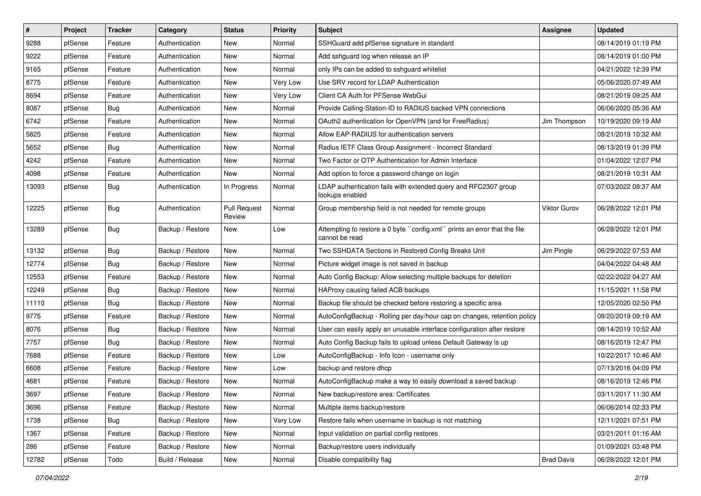| $\vert$ # | Project | <b>Tracker</b> | Category         | <b>Status</b>                 | <b>Priority</b> | <b>Subject</b>                                                                              | <b>Assignee</b>   | <b>Updated</b>      |
|-----------|---------|----------------|------------------|-------------------------------|-----------------|---------------------------------------------------------------------------------------------|-------------------|---------------------|
| 9288      | pfSense | Feature        | Authentication   | New                           | Normal          | SSHGuard add pfSense signature in standard                                                  |                   | 08/14/2019 01:19 PM |
| 9222      | pfSense | Feature        | Authentication   | New                           | Normal          | Add sshguard log when release an IP                                                         |                   | 08/14/2019 01:00 PM |
| 9165      | pfSense | Feature        | Authentication   | New                           | Normal          | only IPs can be added to sshguard whitelist                                                 |                   | 04/21/2022 12:39 PM |
| 8775      | pfSense | Feature        | Authentication   | New                           | Very Low        | Use SRV record for LDAP Authentication                                                      |                   | 05/06/2020 07:49 AM |
| 8694      | pfSense | Feature        | Authentication   | New                           | Very Low        | Client CA Auth for PFSense WebGui                                                           |                   | 08/21/2019 09:25 AM |
| 8087      | pfSense | <b>Bug</b>     | Authentication   | New                           | Normal          | Provide Calling-Station-ID to RADIUS backed VPN connections                                 |                   | 06/06/2020 05:36 AM |
| 6742      | pfSense | Feature        | Authentication   | New                           | Normal          | OAuth2 authentication for OpenVPN (and for FreeRadius)                                      | Jim Thompson      | 10/19/2020 09:19 AM |
| 5825      | pfSense | Feature        | Authentication   | New                           | Normal          | Allow EAP-RADIUS for authentication servers                                                 |                   | 08/21/2019 10:32 AM |
| 5652      | pfSense | <b>Bug</b>     | Authentication   | New                           | Normal          | Radius IETF Class Group Assignment - Incorrect Standard                                     |                   | 08/13/2019 01:39 PM |
| 4242      | pfSense | Feature        | Authentication   | New                           | Normal          | Two Factor or OTP Authentication for Admin Interface                                        |                   | 01/04/2022 12:07 PM |
| 4098      | pfSense | Feature        | Authentication   | New                           | Normal          | Add option to force a password change on login                                              |                   | 08/21/2019 10:31 AM |
| 13093     | pfSense | Bug            | Authentication   | In Progress                   | Normal          | LDAP authentication fails with extended query and RFC2307 group<br>lookups enabled          |                   | 07/03/2022 08:37 AM |
| 12225     | pfSense | <b>Bug</b>     | Authentication   | <b>Pull Request</b><br>Review | Normal          | Group membership field is not needed for remote groups                                      | Viktor Gurov      | 06/28/2022 12:01 PM |
| 13289     | pfSense | <b>Bug</b>     | Backup / Restore | New                           | Low             | Attempting to restore a 0 byte "config.xml" prints an error that the file<br>cannot be read |                   | 06/28/2022 12:01 PM |
| 13132     | pfSense | <b>Bug</b>     | Backup / Restore | New                           | Normal          | Two SSHDATA Sections in Restored Config Breaks Unit                                         | Jim Pingle        | 06/29/2022 07:53 AM |
| 12774     | pfSense | Bug            | Backup / Restore | New                           | Normal          | Picture widget image is not saved in backup                                                 |                   | 04/04/2022 04:48 AM |
| 12553     | pfSense | Feature        | Backup / Restore | New                           | Normal          | Auto Config Backup: Allow selecting multiple backups for deletion                           |                   | 02/22/2022 04:27 AM |
| 12249     | pfSense | Bug            | Backup / Restore | New                           | Normal          | HAProxy causing failed ACB backups                                                          |                   | 11/15/2021 11:58 PM |
| 11110     | pfSense | <b>Bug</b>     | Backup / Restore | New                           | Normal          | Backup file should be checked before restoring a specific area                              |                   | 12/05/2020 02:50 PM |
| 9775      | pfSense | Feature        | Backup / Restore | New                           | Normal          | AutoConfigBackup - Rolling per day/hour cap on changes, retention policy                    |                   | 09/20/2019 09:19 AM |
| 8076      | pfSense | Bug            | Backup / Restore | New                           | Normal          | User can easily apply an unusable interface configuration after restore                     |                   | 08/14/2019 10:52 AM |
| 7757      | pfSense | <b>Bug</b>     | Backup / Restore | New                           | Normal          | Auto Config Backup fails to upload unless Default Gateway is up                             |                   | 08/16/2019 12:47 PM |
| 7688      | pfSense | Feature        | Backup / Restore | New                           | Low             | AutoConfigBackup - Info Icon - username only                                                |                   | 10/22/2017 10:46 AM |
| 6608      | pfSense | Feature        | Backup / Restore | New                           | Low             | backup and restore dhcp                                                                     |                   | 07/13/2016 04:09 PM |
| 4681      | pfSense | Feature        | Backup / Restore | New                           | Normal          | AutoConfigBackup make a way to easily download a saved backup                               |                   | 08/16/2019 12:46 PM |
| 3697      | pfSense | Feature        | Backup / Restore | New                           | Normal          | New backup/restore area: Certificates                                                       |                   | 03/11/2017 11:30 AM |
| 3696      | pfSense | Feature        | Backup / Restore | New                           | Normal          | Multiple items backup/restore                                                               |                   | 06/06/2014 02:33 PM |
| 1738      | pfSense | Bug            | Backup / Restore | New                           | Very Low        | Restore fails when username in backup is not matching                                       |                   | 12/11/2021 07:51 PM |
| 1367      | pfSense | Feature        | Backup / Restore | New                           | Normal          | Input validation on partial config restores                                                 |                   | 03/21/2011 01:16 AM |
| 286       | pfSense | Feature        | Backup / Restore | New                           | Normal          | Backup/restore users individually                                                           |                   | 01/09/2021 03:48 PM |
| 12782     | pfSense | Todo           | Build / Release  | New                           | Normal          | Disable compatibility flag                                                                  | <b>Brad Davis</b> | 06/28/2022 12:01 PM |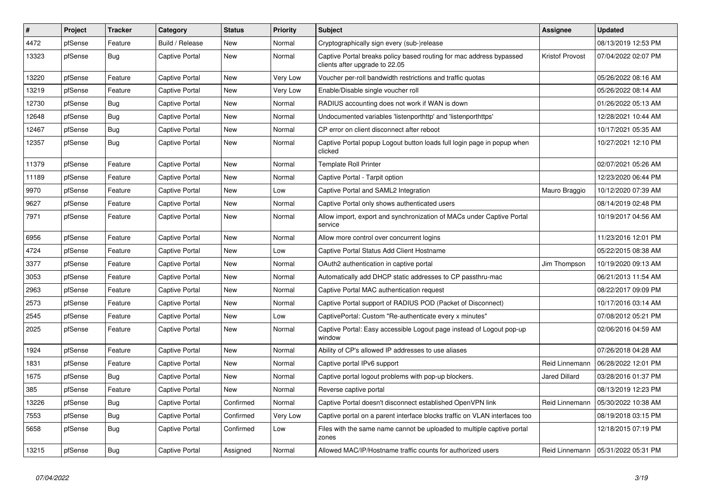| #     | Project | <b>Tracker</b> | Category              | <b>Status</b> | <b>Priority</b> | <b>Subject</b>                                                                                        | <b>Assignee</b>        | <b>Updated</b>      |
|-------|---------|----------------|-----------------------|---------------|-----------------|-------------------------------------------------------------------------------------------------------|------------------------|---------------------|
| 4472  | pfSense | Feature        | Build / Release       | <b>New</b>    | Normal          | Cryptographically sign every (sub-)release                                                            |                        | 08/13/2019 12:53 PM |
| 13323 | pfSense | <b>Bug</b>     | <b>Captive Portal</b> | <b>New</b>    | Normal          | Captive Portal breaks policy based routing for mac address bypassed<br>clients after upgrade to 22.05 | <b>Kristof Provost</b> | 07/04/2022 02:07 PM |
| 13220 | pfSense | Feature        | <b>Captive Portal</b> | <b>New</b>    | Very Low        | Voucher per-roll bandwidth restrictions and traffic quotas                                            |                        | 05/26/2022 08:16 AM |
| 13219 | pfSense | Feature        | <b>Captive Portal</b> | <b>New</b>    | Very Low        | Enable/Disable single voucher roll                                                                    |                        | 05/26/2022 08:14 AM |
| 12730 | pfSense | <b>Bug</b>     | <b>Captive Portal</b> | <b>New</b>    | Normal          | RADIUS accounting does not work if WAN is down                                                        |                        | 01/26/2022 05:13 AM |
| 12648 | pfSense | <b>Bug</b>     | <b>Captive Portal</b> | <b>New</b>    | Normal          | Undocumented variables 'listenporthttp' and 'listenporthttps'                                         |                        | 12/28/2021 10:44 AM |
| 12467 | pfSense | <b>Bug</b>     | <b>Captive Portal</b> | <b>New</b>    | Normal          | CP error on client disconnect after reboot                                                            |                        | 10/17/2021 05:35 AM |
| 12357 | pfSense | Bug            | Captive Portal        | <b>New</b>    | Normal          | Captive Portal popup Logout button loads full login page in popup when<br>clicked                     |                        | 10/27/2021 12:10 PM |
| 11379 | pfSense | Feature        | <b>Captive Portal</b> | <b>New</b>    | Normal          | <b>Template Roll Printer</b>                                                                          |                        | 02/07/2021 05:26 AM |
| 11189 | pfSense | Feature        | Captive Portal        | <b>New</b>    | Normal          | Captive Portal - Tarpit option                                                                        |                        | 12/23/2020 06:44 PM |
| 9970  | pfSense | Feature        | <b>Captive Portal</b> | <b>New</b>    | Low             | Captive Portal and SAML2 Integration                                                                  | Mauro Braggio          | 10/12/2020 07:39 AM |
| 9627  | pfSense | Feature        | Captive Portal        | <b>New</b>    | Normal          | Captive Portal only shows authenticated users                                                         |                        | 08/14/2019 02:48 PM |
| 7971  | pfSense | Feature        | Captive Portal        | <b>New</b>    | Normal          | Allow import, export and synchronization of MACs under Captive Portal<br>service                      |                        | 10/19/2017 04:56 AM |
| 6956  | pfSense | Feature        | <b>Captive Portal</b> | <b>New</b>    | Normal          | Allow more control over concurrent logins                                                             |                        | 11/23/2016 12:01 PM |
| 4724  | pfSense | Feature        | <b>Captive Portal</b> | <b>New</b>    | Low             | Captive Portal Status Add Client Hostname                                                             |                        | 05/22/2015 08:38 AM |
| 3377  | pfSense | Feature        | <b>Captive Portal</b> | <b>New</b>    | Normal          | OAuth2 authentication in captive portal                                                               | Jim Thompson           | 10/19/2020 09:13 AM |
| 3053  | pfSense | Feature        | <b>Captive Portal</b> | <b>New</b>    | Normal          | Automatically add DHCP static addresses to CP passthru-mac                                            |                        | 06/21/2013 11:54 AM |
| 2963  | pfSense | Feature        | <b>Captive Portal</b> | <b>New</b>    | Normal          | Captive Portal MAC authentication request                                                             |                        | 08/22/2017 09:09 PM |
| 2573  | pfSense | Feature        | <b>Captive Portal</b> | <b>New</b>    | Normal          | Captive Portal support of RADIUS POD (Packet of Disconnect)                                           |                        | 10/17/2016 03:14 AM |
| 2545  | pfSense | Feature        | <b>Captive Portal</b> | New           | Low             | CaptivePortal: Custom "Re-authenticate every x minutes"                                               |                        | 07/08/2012 05:21 PM |
| 2025  | pfSense | Feature        | <b>Captive Portal</b> | <b>New</b>    | Normal          | Captive Portal: Easy accessible Logout page instead of Logout pop-up<br>window                        |                        | 02/06/2016 04:59 AM |
| 1924  | pfSense | Feature        | Captive Portal        | <b>New</b>    | Normal          | Ability of CP's allowed IP addresses to use aliases                                                   |                        | 07/26/2018 04:28 AM |
| 1831  | pfSense | Feature        | <b>Captive Portal</b> | <b>New</b>    | Normal          | Captive portal IPv6 support                                                                           | Reid Linnemann         | 06/28/2022 12:01 PM |
| 1675  | pfSense | <b>Bug</b>     | <b>Captive Portal</b> | <b>New</b>    | Normal          | Captive portal logout problems with pop-up blockers.                                                  | <b>Jared Dillard</b>   | 03/28/2016 01:37 PM |
| 385   | pfSense | Feature        | <b>Captive Portal</b> | <b>New</b>    | Normal          | Reverse captive portal                                                                                |                        | 08/13/2019 12:23 PM |
| 13226 | pfSense | <b>Bug</b>     | <b>Captive Portal</b> | Confirmed     | Normal          | Captive Portal doesn't disconnect established OpenVPN link                                            | Reid Linnemann         | 05/30/2022 10:38 AM |
| 7553  | pfSense | <b>Bug</b>     | Captive Portal        | Confirmed     | Very Low        | Captive portal on a parent interface blocks traffic on VLAN interfaces too                            |                        | 08/19/2018 03:15 PM |
| 5658  | pfSense | <b>Bug</b>     | Captive Portal        | Confirmed     | Low             | Files with the same name cannot be uploaded to multiple captive portal<br>zones                       |                        | 12/18/2015 07:19 PM |
| 13215 | pfSense | <b>Bug</b>     | Captive Portal        | Assigned      | Normal          | Allowed MAC/IP/Hostname traffic counts for authorized users                                           | Reid Linnemann         | 05/31/2022 05:31 PM |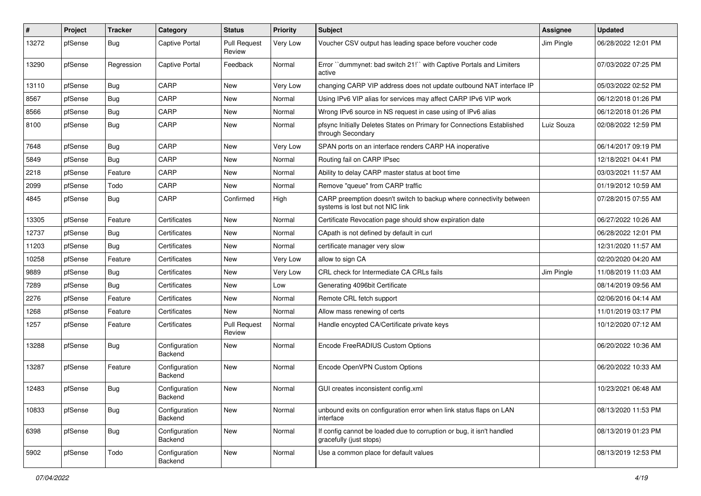| $\vert$ # | Project | <b>Tracker</b> | Category                 | <b>Status</b>                 | <b>Priority</b> | <b>Subject</b>                                                                                          | <b>Assignee</b> | <b>Updated</b>      |
|-----------|---------|----------------|--------------------------|-------------------------------|-----------------|---------------------------------------------------------------------------------------------------------|-----------------|---------------------|
| 13272     | pfSense | <b>Bug</b>     | <b>Captive Portal</b>    | <b>Pull Request</b><br>Review | Very Low        | Voucher CSV output has leading space before voucher code                                                | Jim Pingle      | 06/28/2022 12:01 PM |
| 13290     | pfSense | Regression     | <b>Captive Portal</b>    | Feedback                      | Normal          | Error "dummynet: bad switch 21!" with Captive Portals and Limiters<br>active                            |                 | 07/03/2022 07:25 PM |
| 13110     | pfSense | Bug            | CARP                     | New                           | Very Low        | changing CARP VIP address does not update outbound NAT interface IP                                     |                 | 05/03/2022 02:52 PM |
| 8567      | pfSense | <b>Bug</b>     | CARP                     | New                           | Normal          | Using IPv6 VIP alias for services may affect CARP IPv6 VIP work                                         |                 | 06/12/2018 01:26 PM |
| 8566      | pfSense | Bug            | CARP                     | <b>New</b>                    | Normal          | Wrong IPv6 source in NS request in case using of IPv6 alias                                             |                 | 06/12/2018 01:26 PM |
| 8100      | pfSense | <b>Bug</b>     | CARP                     | New                           | Normal          | pfsync Initially Deletes States on Primary for Connections Established<br>through Secondary             | Luiz Souza      | 02/08/2022 12:59 PM |
| 7648      | pfSense | <b>Bug</b>     | CARP                     | New                           | Very Low        | SPAN ports on an interface renders CARP HA inoperative                                                  |                 | 06/14/2017 09:19 PM |
| 5849      | pfSense | Bug            | CARP                     | New                           | Normal          | Routing fail on CARP IPsec                                                                              |                 | 12/18/2021 04:41 PM |
| 2218      | pfSense | Feature        | CARP                     | New                           | Normal          | Ability to delay CARP master status at boot time                                                        |                 | 03/03/2021 11:57 AM |
| 2099      | pfSense | Todo           | CARP                     | <b>New</b>                    | Normal          | Remove "queue" from CARP traffic                                                                        |                 | 01/19/2012 10:59 AM |
| 4845      | pfSense | <b>Bug</b>     | CARP                     | Confirmed                     | High            | CARP preemption doesn't switch to backup where connectivity between<br>systems is lost but not NIC link |                 | 07/28/2015 07:55 AM |
| 13305     | pfSense | Feature        | Certificates             | <b>New</b>                    | Normal          | Certificate Revocation page should show expiration date                                                 |                 | 06/27/2022 10:26 AM |
| 12737     | pfSense | <b>Bug</b>     | Certificates             | New                           | Normal          | CApath is not defined by default in curl                                                                |                 | 06/28/2022 12:01 PM |
| 11203     | pfSense | <b>Bug</b>     | Certificates             | New                           | Normal          | certificate manager very slow                                                                           |                 | 12/31/2020 11:57 AM |
| 10258     | pfSense | Feature        | Certificates             | New                           | Very Low        | allow to sign CA                                                                                        |                 | 02/20/2020 04:20 AM |
| 9889      | pfSense | <b>Bug</b>     | Certificates             | <b>New</b>                    | Very Low        | CRL check for Intermediate CA CRLs fails                                                                | Jim Pingle      | 11/08/2019 11:03 AM |
| 7289      | pfSense | Bug            | Certificates             | New                           | Low             | Generating 4096bit Certificate                                                                          |                 | 08/14/2019 09:56 AM |
| 2276      | pfSense | Feature        | Certificates             | New                           | Normal          | Remote CRL fetch support                                                                                |                 | 02/06/2016 04:14 AM |
| 1268      | pfSense | Feature        | Certificates             | New                           | Normal          | Allow mass renewing of certs                                                                            |                 | 11/01/2019 03:17 PM |
| 1257      | pfSense | Feature        | Certificates             | <b>Pull Request</b><br>Review | Normal          | Handle encypted CA/Certificate private keys                                                             |                 | 10/12/2020 07:12 AM |
| 13288     | pfSense | <b>Bug</b>     | Configuration<br>Backend | New                           | Normal          | Encode FreeRADIUS Custom Options                                                                        |                 | 06/20/2022 10:36 AM |
| 13287     | pfSense | Feature        | Configuration<br>Backend | New                           | Normal          | Encode OpenVPN Custom Options                                                                           |                 | 06/20/2022 10:33 AM |
| 12483     | pfSense | <b>Bug</b>     | Configuration<br>Backend | New                           | Normal          | GUI creates inconsistent config.xml                                                                     |                 | 10/23/2021 06:48 AM |
| 10833     | pfSense | <b>Bug</b>     | Configuration<br>Backend | New                           | Normal          | unbound exits on configuration error when link status flaps on LAN<br>interface                         |                 | 08/13/2020 11:53 PM |
| 6398      | pfSense | <b>Bug</b>     | Configuration<br>Backend | New                           | Normal          | If config cannot be loaded due to corruption or bug, it isn't handled<br>gracefully (just stops)        |                 | 08/13/2019 01:23 PM |
| 5902      | pfSense | Todo           | Configuration<br>Backend | New                           | Normal          | Use a common place for default values                                                                   |                 | 08/13/2019 12:53 PM |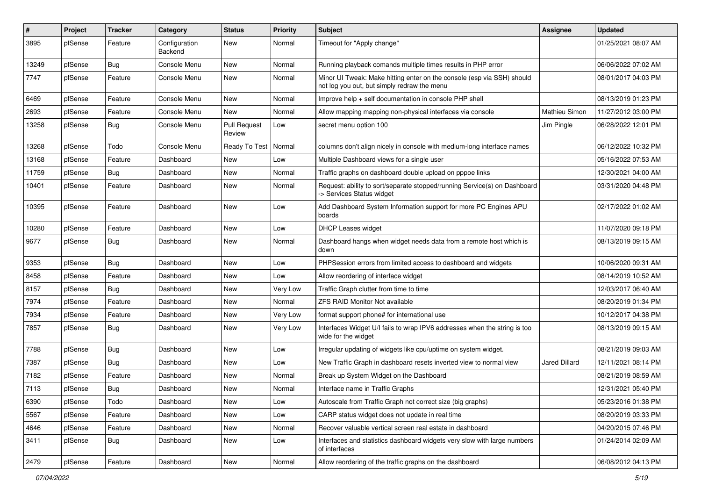| #     | Project | <b>Tracker</b> | Category                 | <b>Status</b>                 | <b>Priority</b> | <b>Subject</b>                                                                                                        | <b>Assignee</b>      | <b>Updated</b>      |
|-------|---------|----------------|--------------------------|-------------------------------|-----------------|-----------------------------------------------------------------------------------------------------------------------|----------------------|---------------------|
| 3895  | pfSense | Feature        | Configuration<br>Backend | New                           | Normal          | Timeout for "Apply change"                                                                                            |                      | 01/25/2021 08:07 AM |
| 13249 | pfSense | <b>Bug</b>     | Console Menu             | New                           | Normal          | Running playback comands multiple times results in PHP error                                                          |                      | 06/06/2022 07:02 AM |
| 7747  | pfSense | Feature        | Console Menu             | New                           | Normal          | Minor UI Tweak: Make hitting enter on the console (esp via SSH) should<br>not log you out, but simply redraw the menu |                      | 08/01/2017 04:03 PM |
| 6469  | pfSense | Feature        | Console Menu             | <b>New</b>                    | Normal          | Improve help + self documentation in console PHP shell                                                                |                      | 08/13/2019 01:23 PM |
| 2693  | pfSense | Feature        | Console Menu             | New                           | Normal          | Allow mapping mapping non-physical interfaces via console                                                             | Mathieu Simon        | 11/27/2012 03:00 PM |
| 13258 | pfSense | <b>Bug</b>     | Console Menu             | <b>Pull Request</b><br>Review | Low             | secret menu option 100                                                                                                | Jim Pingle           | 06/28/2022 12:01 PM |
| 13268 | pfSense | Todo           | Console Menu             | Ready To Test                 | Normal          | columns don't align nicely in console with medium-long interface names                                                |                      | 06/12/2022 10:32 PM |
| 13168 | pfSense | Feature        | Dashboard                | New                           | Low             | Multiple Dashboard views for a single user                                                                            |                      | 05/16/2022 07:53 AM |
| 11759 | pfSense | <b>Bug</b>     | Dashboard                | <b>New</b>                    | Normal          | Traffic graphs on dashboard double upload on pppoe links                                                              |                      | 12/30/2021 04:00 AM |
| 10401 | pfSense | Feature        | Dashboard                | New                           | Normal          | Request: ability to sort/separate stopped/running Service(s) on Dashboard<br>-> Services Status widget                |                      | 03/31/2020 04:48 PM |
| 10395 | pfSense | Feature        | Dashboard                | New                           | Low             | Add Dashboard System Information support for more PC Engines APU<br>boards                                            |                      | 02/17/2022 01:02 AM |
| 10280 | pfSense | Feature        | Dashboard                | New                           | Low             | DHCP Leases widget                                                                                                    |                      | 11/07/2020 09:18 PM |
| 9677  | pfSense | <b>Bug</b>     | Dashboard                | New                           | Normal          | Dashboard hangs when widget needs data from a remote host which is<br>down                                            |                      | 08/13/2019 09:15 AM |
| 9353  | pfSense | <b>Bug</b>     | Dashboard                | New                           | Low             | PHPSession errors from limited access to dashboard and widgets                                                        |                      | 10/06/2020 09:31 AM |
| 8458  | pfSense | Feature        | Dashboard                | New                           | Low             | Allow reordering of interface widget                                                                                  |                      | 08/14/2019 10:52 AM |
| 8157  | pfSense | <b>Bug</b>     | Dashboard                | New                           | Very Low        | Traffic Graph clutter from time to time                                                                               |                      | 12/03/2017 06:40 AM |
| 7974  | pfSense | Feature        | Dashboard                | New                           | Normal          | <b>ZFS RAID Monitor Not available</b>                                                                                 |                      | 08/20/2019 01:34 PM |
| 7934  | pfSense | Feature        | Dashboard                | <b>New</b>                    | Very Low        | format support phone# for international use                                                                           |                      | 10/12/2017 04:38 PM |
| 7857  | pfSense | <b>Bug</b>     | Dashboard                | New                           | Very Low        | Interfaces Widget U/I fails to wrap IPV6 addresses when the string is too<br>wide for the widget                      |                      | 08/13/2019 09:15 AM |
| 7788  | pfSense | <b>Bug</b>     | Dashboard                | New                           | Low             | Irregular updating of widgets like cpu/uptime on system widget.                                                       |                      | 08/21/2019 09:03 AM |
| 7387  | pfSense | <b>Bug</b>     | Dashboard                | <b>New</b>                    | Low             | New Traffic Graph in dashboard resets inverted view to normal view                                                    | <b>Jared Dillard</b> | 12/11/2021 08:14 PM |
| 7182  | pfSense | Feature        | Dashboard                | New                           | Normal          | Break up System Widget on the Dashboard                                                                               |                      | 08/21/2019 08:59 AM |
| 7113  | pfSense | <b>Bug</b>     | Dashboard                | New                           | Normal          | Interface name in Traffic Graphs                                                                                      |                      | 12/31/2021 05:40 PM |
| 6390  | pfSense | Todo           | Dashboard                | New                           | Low             | Autoscale from Traffic Graph not correct size (big graphs)                                                            |                      | 05/23/2016 01:38 PM |
| 5567  | pfSense | Feature        | Dashboard                | New                           | Low             | CARP status widget does not update in real time                                                                       |                      | 08/20/2019 03:33 PM |
| 4646  | pfSense | Feature        | Dashboard                | New                           | Normal          | Recover valuable vertical screen real estate in dashboard                                                             |                      | 04/20/2015 07:46 PM |
| 3411  | pfSense | <b>Bug</b>     | Dashboard                | New                           | Low             | Interfaces and statistics dashboard widgets very slow with large numbers<br>of interfaces                             |                      | 01/24/2014 02:09 AM |
| 2479  | pfSense | Feature        | Dashboard                | New                           | Normal          | Allow reordering of the traffic graphs on the dashboard                                                               |                      | 06/08/2012 04:13 PM |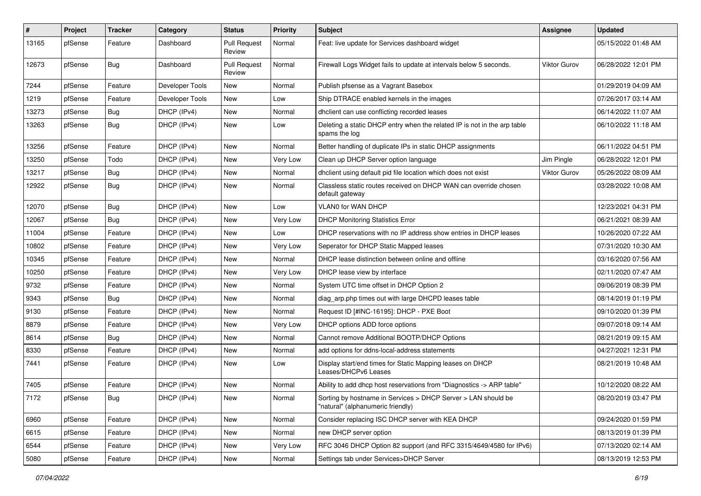| ∦     | Project | <b>Tracker</b> | Category        | <b>Status</b>                 | <b>Priority</b> | <b>Subject</b>                                                                                     | <b>Assignee</b>     | <b>Updated</b>      |
|-------|---------|----------------|-----------------|-------------------------------|-----------------|----------------------------------------------------------------------------------------------------|---------------------|---------------------|
| 13165 | pfSense | Feature        | Dashboard       | <b>Pull Request</b><br>Review | Normal          | Feat: live update for Services dashboard widget                                                    |                     | 05/15/2022 01:48 AM |
| 12673 | pfSense | Bug            | Dashboard       | <b>Pull Request</b><br>Review | Normal          | Firewall Logs Widget fails to update at intervals below 5 seconds.                                 | Viktor Gurov        | 06/28/2022 12:01 PM |
| 7244  | pfSense | Feature        | Developer Tools | New                           | Normal          | Publish pfsense as a Vagrant Basebox                                                               |                     | 01/29/2019 04:09 AM |
| 1219  | pfSense | Feature        | Developer Tools | New                           | Low             | Ship DTRACE enabled kernels in the images                                                          |                     | 07/26/2017 03:14 AM |
| 13273 | pfSense | <b>Bug</b>     | DHCP (IPv4)     | New                           | Normal          | dhclient can use conflicting recorded leases                                                       |                     | 06/14/2022 11:07 AM |
| 13263 | pfSense | Bug            | DHCP (IPv4)     | New                           | Low             | Deleting a static DHCP entry when the related IP is not in the arp table<br>spams the log          |                     | 06/10/2022 11:18 AM |
| 13256 | pfSense | Feature        | DHCP (IPv4)     | New                           | Normal          | Better handling of duplicate IPs in static DHCP assignments                                        |                     | 06/11/2022 04:51 PM |
| 13250 | pfSense | Todo           | DHCP (IPv4)     | New                           | Very Low        | Clean up DHCP Server option language                                                               | Jim Pingle          | 06/28/2022 12:01 PM |
| 13217 | pfSense | <b>Bug</b>     | DHCP (IPv4)     | New                           | Normal          | dhclient using default pid file location which does not exist                                      | <b>Viktor Gurov</b> | 05/26/2022 08:09 AM |
| 12922 | pfSense | Bug            | DHCP (IPv4)     | New                           | Normal          | Classless static routes received on DHCP WAN can override chosen<br>default gateway                |                     | 03/28/2022 10:08 AM |
| 12070 | pfSense | Bug            | DHCP (IPv4)     | New                           | Low             | VLAN0 for WAN DHCP                                                                                 |                     | 12/23/2021 04:31 PM |
| 12067 | pfSense | Bug            | DHCP (IPv4)     | New                           | Very Low        | <b>DHCP Monitoring Statistics Error</b>                                                            |                     | 06/21/2021 08:39 AM |
| 11004 | pfSense | Feature        | DHCP (IPv4)     | New                           | Low             | DHCP reservations with no IP address show entries in DHCP leases                                   |                     | 10/26/2020 07:22 AM |
| 10802 | pfSense | Feature        | DHCP (IPv4)     | New                           | Very Low        | Seperator for DHCP Static Mapped leases                                                            |                     | 07/31/2020 10:30 AM |
| 10345 | pfSense | Feature        | DHCP (IPv4)     | New                           | Normal          | DHCP lease distinction between online and offline                                                  |                     | 03/16/2020 07:56 AM |
| 10250 | pfSense | Feature        | DHCP (IPv4)     | New                           | Very Low        | DHCP lease view by interface                                                                       |                     | 02/11/2020 07:47 AM |
| 9732  | pfSense | Feature        | DHCP (IPv4)     | New                           | Normal          | System UTC time offset in DHCP Option 2                                                            |                     | 09/06/2019 08:39 PM |
| 9343  | pfSense | Bug            | DHCP (IPv4)     | New                           | Normal          | diag_arp.php times out with large DHCPD leases table                                               |                     | 08/14/2019 01:19 PM |
| 9130  | pfSense | Feature        | DHCP (IPv4)     | New                           | Normal          | Request ID [#INC-16195]: DHCP - PXE Boot                                                           |                     | 09/10/2020 01:39 PM |
| 8879  | pfSense | Feature        | DHCP (IPv4)     | New                           | Very Low        | DHCP options ADD force options                                                                     |                     | 09/07/2018 09:14 AM |
| 8614  | pfSense | <b>Bug</b>     | DHCP (IPv4)     | New                           | Normal          | Cannot remove Additional BOOTP/DHCP Options                                                        |                     | 08/21/2019 09:15 AM |
| 8330  | pfSense | Feature        | DHCP (IPv4)     | New                           | Normal          | add options for ddns-local-address statements                                                      |                     | 04/27/2021 12:31 PM |
| 7441  | pfSense | Feature        | DHCP (IPv4)     | New                           | Low             | Display start/end times for Static Mapping leases on DHCP<br>Leases/DHCPv6 Leases                  |                     | 08/21/2019 10:48 AM |
| 7405  | pfSense | Feature        | DHCP (IPv4)     | New                           | Normal          | Ability to add dhcp host reservations from "Diagnostics -> ARP table"                              |                     | 10/12/2020 08:22 AM |
| 7172  | pfSense | <b>Bug</b>     | DHCP (IPv4)     | New                           | Normal          | Sorting by hostname in Services > DHCP Server > LAN should be<br>"natural" (alphanumeric friendly) |                     | 08/20/2019 03:47 PM |
| 6960  | pfSense | Feature        | DHCP (IPv4)     | New                           | Normal          | Consider replacing ISC DHCP server with KEA DHCP                                                   |                     | 09/24/2020 01:59 PM |
| 6615  | pfSense | Feature        | DHCP (IPv4)     | New                           | Normal          | new DHCP server option                                                                             |                     | 08/13/2019 01:39 PM |
| 6544  | pfSense | Feature        | DHCP (IPv4)     | New                           | Very Low        | RFC 3046 DHCP Option 82 support (and RFC 3315/4649/4580 for IPv6)                                  |                     | 07/13/2020 02:14 AM |
| 5080  | pfSense | Feature        | DHCP (IPv4)     | New                           | Normal          | Settings tab under Services>DHCP Server                                                            |                     | 08/13/2019 12:53 PM |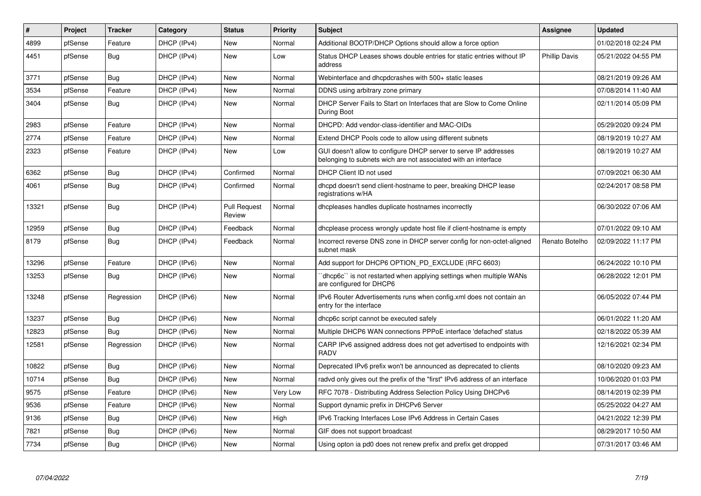| $\vert$ # | Project | <b>Tracker</b> | Category    | <b>Status</b>                 | <b>Priority</b> | <b>Subject</b>                                                                                                                     | Assignee             | <b>Updated</b>      |
|-----------|---------|----------------|-------------|-------------------------------|-----------------|------------------------------------------------------------------------------------------------------------------------------------|----------------------|---------------------|
| 4899      | pfSense | Feature        | DHCP (IPv4) | <b>New</b>                    | Normal          | Additional BOOTP/DHCP Options should allow a force option                                                                          |                      | 01/02/2018 02:24 PM |
| 4451      | pfSense | Bug            | DHCP (IPv4) | New                           | Low             | Status DHCP Leases shows double entries for static entries without IP<br>address                                                   | <b>Phillip Davis</b> | 05/21/2022 04:55 PM |
| 3771      | pfSense | Bug            | DHCP (IPv4) | <b>New</b>                    | Normal          | Webinterface and dhcpdcrashes with 500+ static leases                                                                              |                      | 08/21/2019 09:26 AM |
| 3534      | pfSense | Feature        | DHCP (IPv4) | <b>New</b>                    | Normal          | DDNS using arbitrary zone primary                                                                                                  |                      | 07/08/2014 11:40 AM |
| 3404      | pfSense | Bug            | DHCP (IPv4) | New                           | Normal          | DHCP Server Fails to Start on Interfaces that are Slow to Come Online<br>During Boot                                               |                      | 02/11/2014 05:09 PM |
| 2983      | pfSense | Feature        | DHCP (IPv4) | <b>New</b>                    | Normal          | DHCPD: Add vendor-class-identifier and MAC-OIDs                                                                                    |                      | 05/29/2020 09:24 PM |
| 2774      | pfSense | Feature        | DHCP (IPv4) | New                           | Normal          | Extend DHCP Pools code to allow using different subnets                                                                            |                      | 08/19/2019 10:27 AM |
| 2323      | pfSense | Feature        | DHCP (IPv4) | <b>New</b>                    | Low             | GUI doesn't allow to configure DHCP server to serve IP addresses<br>belonging to subnets wich are not associated with an interface |                      | 08/19/2019 10:27 AM |
| 6362      | pfSense | <b>Bug</b>     | DHCP (IPv4) | Confirmed                     | Normal          | DHCP Client ID not used                                                                                                            |                      | 07/09/2021 06:30 AM |
| 4061      | pfSense | Bug            | DHCP (IPv4) | Confirmed                     | Normal          | dhopd doesn't send client-hostname to peer, breaking DHCP lease<br>registrations w/HA                                              |                      | 02/24/2017 08:58 PM |
| 13321     | pfSense | Bug            | DHCP (IPv4) | <b>Pull Request</b><br>Review | Normal          | dhcpleases handles duplicate hostnames incorrectly                                                                                 |                      | 06/30/2022 07:06 AM |
| 12959     | pfSense | Bug            | DHCP (IPv4) | Feedback                      | Normal          | dhcplease process wrongly update host file if client-hostname is empty                                                             |                      | 07/01/2022 09:10 AM |
| 8179      | pfSense | Bug            | DHCP (IPv4) | Feedback                      | Normal          | Incorrect reverse DNS zone in DHCP server config for non-octet-aligned<br>subnet mask                                              | Renato Botelho       | 02/09/2022 11:17 PM |
| 13296     | pfSense | Feature        | DHCP (IPv6) | <b>New</b>                    | Normal          | Add support for DHCP6 OPTION PD EXCLUDE (RFC 6603)                                                                                 |                      | 06/24/2022 10:10 PM |
| 13253     | pfSense | <b>Bug</b>     | DHCP (IPv6) | <b>New</b>                    | Normal          | 'dhcp6c'' is not restarted when applying settings when multiple WANs<br>are configured for DHCP6                                   |                      | 06/28/2022 12:01 PM |
| 13248     | pfSense | Regression     | DHCP (IPv6) | <b>New</b>                    | Normal          | IPv6 Router Advertisements runs when config.xml does not contain an<br>entry for the interface                                     |                      | 06/05/2022 07:44 PM |
| 13237     | pfSense | Bug            | DHCP (IPv6) | <b>New</b>                    | Normal          | dhcp6c script cannot be executed safely                                                                                            |                      | 06/01/2022 11:20 AM |
| 12823     | pfSense | <b>Bug</b>     | DHCP (IPv6) | <b>New</b>                    | Normal          | Multiple DHCP6 WAN connections PPPoE interface 'defached' status                                                                   |                      | 02/18/2022 05:39 AM |
| 12581     | pfSense | Regression     | DHCP (IPv6) | New                           | Normal          | CARP IPv6 assigned address does not get advertised to endpoints with<br><b>RADV</b>                                                |                      | 12/16/2021 02:34 PM |
| 10822     | pfSense | Bug            | DHCP (IPv6) | <b>New</b>                    | Normal          | Deprecated IPv6 prefix won't be announced as deprecated to clients                                                                 |                      | 08/10/2020 09:23 AM |
| 10714     | pfSense | <b>Bug</b>     | DHCP (IPv6) | New                           | Normal          | radvd only gives out the prefix of the "first" IPv6 address of an interface                                                        |                      | 10/06/2020 01:03 PM |
| 9575      | pfSense | Feature        | DHCP (IPv6) | <b>New</b>                    | Very Low        | RFC 7078 - Distributing Address Selection Policy Using DHCPv6                                                                      |                      | 08/14/2019 02:39 PM |
| 9536      | pfSense | Feature        | DHCP (IPv6) | <b>New</b>                    | Normal          | Support dynamic prefix in DHCPv6 Server                                                                                            |                      | 05/25/2022 04:27 AM |
| 9136      | pfSense | <b>Bug</b>     | DHCP (IPv6) | <b>New</b>                    | High            | IPv6 Tracking Interfaces Lose IPv6 Address in Certain Cases                                                                        |                      | 04/21/2022 12:39 PM |
| 7821      | pfSense | Bug            | DHCP (IPv6) | New                           | Normal          | GIF does not support broadcast                                                                                                     |                      | 08/29/2017 10:50 AM |
| 7734      | pfSense | <b>Bug</b>     | DHCP (IPv6) | <b>New</b>                    | Normal          | Using opton ia pd0 does not renew prefix and prefix get dropped                                                                    |                      | 07/31/2017 03:46 AM |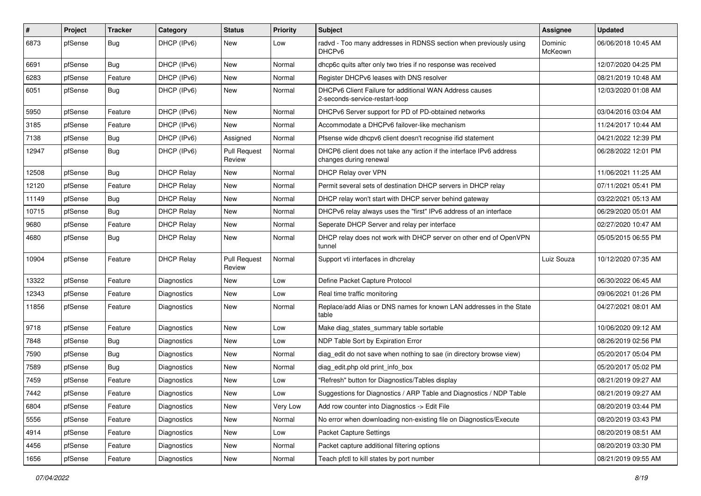| #     | Project | <b>Tracker</b> | Category          | <b>Status</b>                 | <b>Priority</b> | Subject                                                                                       | <b>Assignee</b>    | <b>Updated</b>      |
|-------|---------|----------------|-------------------|-------------------------------|-----------------|-----------------------------------------------------------------------------------------------|--------------------|---------------------|
| 6873  | pfSense | <b>Bug</b>     | DHCP (IPv6)       | New                           | Low             | radvd - Too many addresses in RDNSS section when previously using<br>DHCP <sub>v6</sub>       | Dominic<br>McKeown | 06/06/2018 10:45 AM |
| 6691  | pfSense | Bug            | DHCP (IPv6)       | New                           | Normal          | dhcp6c quits after only two tries if no response was received                                 |                    | 12/07/2020 04:25 PM |
| 6283  | pfSense | Feature        | DHCP (IPv6)       | New                           | Normal          | Register DHCPv6 leases with DNS resolver                                                      |                    | 08/21/2019 10:48 AM |
| 6051  | pfSense | <b>Bug</b>     | DHCP (IPv6)       | New                           | Normal          | DHCPv6 Client Failure for additional WAN Address causes<br>2-seconds-service-restart-loop     |                    | 12/03/2020 01:08 AM |
| 5950  | pfSense | Feature        | DHCP (IPv6)       | New                           | Normal          | DHCPv6 Server support for PD of PD-obtained networks                                          |                    | 03/04/2016 03:04 AM |
| 3185  | pfSense | Feature        | DHCP (IPv6)       | <b>New</b>                    | Normal          | Accommodate a DHCPv6 failover-like mechanism                                                  |                    | 11/24/2017 10:44 AM |
| 7138  | pfSense | <b>Bug</b>     | DHCP (IPv6)       | Assigned                      | Normal          | Pfsense wide dhcpv6 client doesn't recognise ifid statement                                   |                    | 04/21/2022 12:39 PM |
| 12947 | pfSense | Bug            | DHCP (IPv6)       | <b>Pull Request</b><br>Review | Normal          | DHCP6 client does not take any action if the interface IPv6 address<br>changes during renewal |                    | 06/28/2022 12:01 PM |
| 12508 | pfSense | Bug            | <b>DHCP Relay</b> | New                           | Normal          | DHCP Relay over VPN                                                                           |                    | 11/06/2021 11:25 AM |
| 12120 | pfSense | Feature        | <b>DHCP Relay</b> | New                           | Normal          | Permit several sets of destination DHCP servers in DHCP relay                                 |                    | 07/11/2021 05:41 PM |
| 11149 | pfSense | <b>Bug</b>     | <b>DHCP Relay</b> | New                           | Normal          | DHCP relay won't start with DHCP server behind gateway                                        |                    | 03/22/2021 05:13 AM |
| 10715 | pfSense | <b>Bug</b>     | <b>DHCP Relay</b> | New                           | Normal          | DHCPv6 relay always uses the "first" IPv6 address of an interface                             |                    | 06/29/2020 05:01 AM |
| 9680  | pfSense | Feature        | <b>DHCP Relay</b> | New                           | Normal          | Seperate DHCP Server and relay per interface                                                  |                    | 02/27/2020 10:47 AM |
| 4680  | pfSense | <b>Bug</b>     | <b>DHCP Relay</b> | New                           | Normal          | DHCP relay does not work with DHCP server on other end of OpenVPN<br>tunnel                   |                    | 05/05/2015 06:55 PM |
| 10904 | pfSense | Feature        | <b>DHCP Relay</b> | <b>Pull Request</b><br>Review | Normal          | Support vti interfaces in dhcrelay                                                            | Luiz Souza         | 10/12/2020 07:35 AM |
| 13322 | pfSense | Feature        | Diagnostics       | New                           | Low             | Define Packet Capture Protocol                                                                |                    | 06/30/2022 06:45 AM |
| 12343 | pfSense | Feature        | Diagnostics       | New                           | Low             | Real time traffic monitoring                                                                  |                    | 09/06/2021 01:26 PM |
| 11856 | pfSense | Feature        | Diagnostics       | New                           | Normal          | Replace/add Alias or DNS names for known LAN addresses in the State<br>table                  |                    | 04/27/2021 08:01 AM |
| 9718  | pfSense | Feature        | Diagnostics       | New                           | Low             | Make diag_states_summary table sortable                                                       |                    | 10/06/2020 09:12 AM |
| 7848  | pfSense | <b>Bug</b>     | Diagnostics       | New                           | Low             | NDP Table Sort by Expiration Error                                                            |                    | 08/26/2019 02:56 PM |
| 7590  | pfSense | Bug            | Diagnostics       | New                           | Normal          | diag_edit do not save when nothing to sae (in directory browse view)                          |                    | 05/20/2017 05:04 PM |
| 7589  | pfSense | <b>Bug</b>     | Diagnostics       | New                           | Normal          | diag_edit.php old print_info_box                                                              |                    | 05/20/2017 05:02 PM |
| 7459  | pfSense | Feature        | Diagnostics       | New                           | Low             | "Refresh" button for Diagnostics/Tables display                                               |                    | 08/21/2019 09:27 AM |
| 7442  | pfSense | Feature        | Diagnostics       | New                           | Low             | Suggestions for Diagnostics / ARP Table and Diagnostics / NDP Table                           |                    | 08/21/2019 09:27 AM |
| 6804  | pfSense | Feature        | Diagnostics       | New                           | Very Low        | Add row counter into Diagnostics -> Edit File                                                 |                    | 08/20/2019 03:44 PM |
| 5556  | pfSense | Feature        | Diagnostics       | New                           | Normal          | No error when downloading non-existing file on Diagnostics/Execute                            |                    | 08/20/2019 03:43 PM |
| 4914  | pfSense | Feature        | Diagnostics       | New                           | Low             | Packet Capture Settings                                                                       |                    | 08/20/2019 08:51 AM |
| 4456  | pfSense | Feature        | Diagnostics       | New                           | Normal          | Packet capture additional filtering options                                                   |                    | 08/20/2019 03:30 PM |
| 1656  | pfSense | Feature        | Diagnostics       | New                           | Normal          | Teach pfctl to kill states by port number                                                     |                    | 08/21/2019 09:55 AM |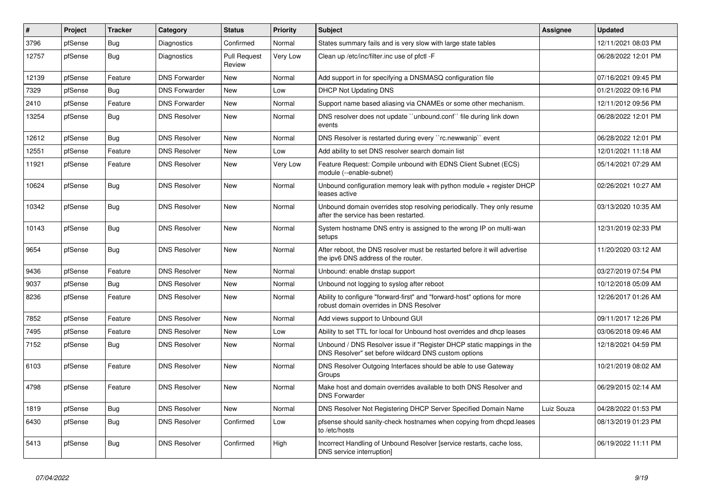| #     | Project | <b>Tracker</b> | Category             | <b>Status</b>                 | <b>Priority</b> | <b>Subject</b>                                                                                                                | <b>Assignee</b> | <b>Updated</b>      |
|-------|---------|----------------|----------------------|-------------------------------|-----------------|-------------------------------------------------------------------------------------------------------------------------------|-----------------|---------------------|
| 3796  | pfSense | <b>Bug</b>     | Diagnostics          | Confirmed                     | Normal          | States summary fails and is very slow with large state tables                                                                 |                 | 12/11/2021 08:03 PM |
| 12757 | pfSense | <b>Bug</b>     | Diagnostics          | <b>Pull Request</b><br>Review | Very Low        | Clean up /etc/inc/filter.inc use of pfctl -F                                                                                  |                 | 06/28/2022 12:01 PM |
| 12139 | pfSense | Feature        | <b>DNS Forwarder</b> | <b>New</b>                    | Normal          | Add support in for specifying a DNSMASQ configuration file                                                                    |                 | 07/16/2021 09:45 PM |
| 7329  | pfSense | Bug            | <b>DNS Forwarder</b> | New                           | Low             | <b>DHCP Not Updating DNS</b>                                                                                                  |                 | 01/21/2022 09:16 PM |
| 2410  | pfSense | Feature        | <b>DNS Forwarder</b> | New                           | Normal          | Support name based aliasing via CNAMEs or some other mechanism.                                                               |                 | 12/11/2012 09:56 PM |
| 13254 | pfSense | <b>Bug</b>     | <b>DNS Resolver</b>  | <b>New</b>                    | Normal          | DNS resolver does not update "unbound.conf" file during link down<br>events                                                   |                 | 06/28/2022 12:01 PM |
| 12612 | pfSense | Bug            | <b>DNS Resolver</b>  | <b>New</b>                    | Normal          | DNS Resolver is restarted during every "rc.newwanip" event                                                                    |                 | 06/28/2022 12:01 PM |
| 12551 | pfSense | Feature        | <b>DNS Resolver</b>  | New                           | Low             | Add ability to set DNS resolver search domain list                                                                            |                 | 12/01/2021 11:18 AM |
| 11921 | pfSense | Feature        | <b>DNS Resolver</b>  | New                           | Very Low        | Feature Request: Compile unbound with EDNS Client Subnet (ECS)<br>module (--enable-subnet)                                    |                 | 05/14/2021 07:29 AM |
| 10624 | pfSense | <b>Bug</b>     | <b>DNS Resolver</b>  | <b>New</b>                    | Normal          | Unbound configuration memory leak with python module + register DHCP<br>leases active                                         |                 | 02/26/2021 10:27 AM |
| 10342 | pfSense | Bug            | <b>DNS Resolver</b>  | New                           | Normal          | Unbound domain overrides stop resolving periodically. They only resume<br>after the service has been restarted.               |                 | 03/13/2020 10:35 AM |
| 10143 | pfSense | Bug            | <b>DNS Resolver</b>  | New                           | Normal          | System hostname DNS entry is assigned to the wrong IP on multi-wan<br>setups                                                  |                 | 12/31/2019 02:33 PM |
| 9654  | pfSense | <b>Bug</b>     | <b>DNS Resolver</b>  | <b>New</b>                    | Normal          | After reboot, the DNS resolver must be restarted before it will advertise<br>the ipv6 DNS address of the router.              |                 | 11/20/2020 03:12 AM |
| 9436  | pfSense | Feature        | <b>DNS Resolver</b>  | <b>New</b>                    | Normal          | Unbound: enable dnstap support                                                                                                |                 | 03/27/2019 07:54 PM |
| 9037  | pfSense | Bug            | <b>DNS Resolver</b>  | <b>New</b>                    | Normal          | Unbound not logging to syslog after reboot                                                                                    |                 | 10/12/2018 05:09 AM |
| 8236  | pfSense | Feature        | <b>DNS Resolver</b>  | New                           | Normal          | Ability to configure "forward-first" and "forward-host" options for more<br>robust domain overrides in DNS Resolver           |                 | 12/26/2017 01:26 AM |
| 7852  | pfSense | Feature        | <b>DNS Resolver</b>  | <b>New</b>                    | Normal          | Add views support to Unbound GUI                                                                                              |                 | 09/11/2017 12:26 PM |
| 7495  | pfSense | Feature        | <b>DNS Resolver</b>  | New                           | Low             | Ability to set TTL for local for Unbound host overrides and dhcp leases                                                       |                 | 03/06/2018 09:46 AM |
| 7152  | pfSense | Bug            | <b>DNS Resolver</b>  | <b>New</b>                    | Normal          | Unbound / DNS Resolver issue if "Register DHCP static mappings in the<br>DNS Resolver" set before wildcard DNS custom options |                 | 12/18/2021 04:59 PM |
| 6103  | pfSense | Feature        | <b>DNS Resolver</b>  | New                           | Normal          | DNS Resolver Outgoing Interfaces should be able to use Gateway<br>Groups                                                      |                 | 10/21/2019 08:02 AM |
| 4798  | pfSense | Feature        | <b>DNS Resolver</b>  | <b>New</b>                    | Normal          | Make host and domain overrides available to both DNS Resolver and<br><b>DNS Forwarder</b>                                     |                 | 06/29/2015 02:14 AM |
| 1819  | pfSense | Bug            | <b>DNS Resolver</b>  | <b>New</b>                    | Normal          | DNS Resolver Not Registering DHCP Server Specified Domain Name                                                                | Luiz Souza      | 04/28/2022 01:53 PM |
| 6430  | pfSense | <b>Bug</b>     | <b>DNS Resolver</b>  | Confirmed                     | Low             | pfsense should sanity-check hostnames when copying from dhcpd.leases<br>to /etc/hosts                                         |                 | 08/13/2019 01:23 PM |
| 5413  | pfSense | <b>Bug</b>     | <b>DNS Resolver</b>  | Confirmed                     | High            | Incorrect Handling of Unbound Resolver [service restarts, cache loss,<br>DNS service interruption]                            |                 | 06/19/2022 11:11 PM |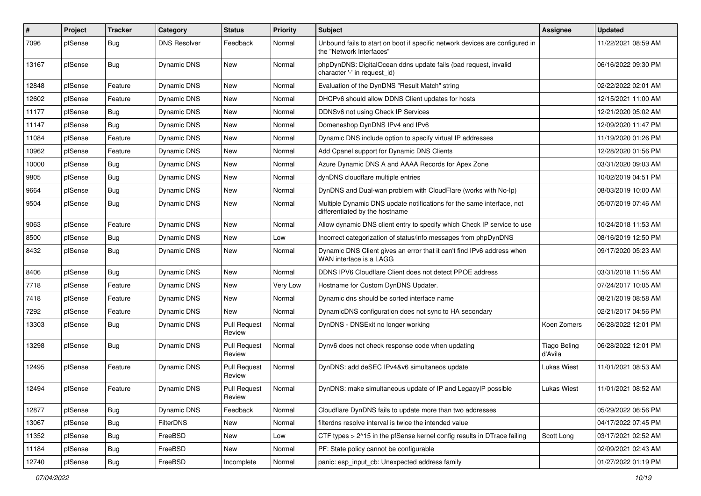| $\vert$ # | Project | <b>Tracker</b> | Category            | <b>Status</b>                 | <b>Priority</b> | <b>Subject</b>                                                                                           | <b>Assignee</b>                | <b>Updated</b>      |
|-----------|---------|----------------|---------------------|-------------------------------|-----------------|----------------------------------------------------------------------------------------------------------|--------------------------------|---------------------|
| 7096      | pfSense | <b>Bug</b>     | <b>DNS Resolver</b> | Feedback                      | Normal          | Unbound fails to start on boot if specific network devices are configured in<br>the "Network Interfaces" |                                | 11/22/2021 08:59 AM |
| 13167     | pfSense | Bug            | Dynamic DNS         | New                           | Normal          | phpDynDNS: DigitalOcean ddns update fails (bad request, invalid<br>character '-' in request id)          |                                | 06/16/2022 09:30 PM |
| 12848     | pfSense | Feature        | Dynamic DNS         | <b>New</b>                    | Normal          | Evaluation of the DynDNS "Result Match" string                                                           |                                | 02/22/2022 02:01 AM |
| 12602     | pfSense | Feature        | Dynamic DNS         | New                           | Normal          | DHCPv6 should allow DDNS Client updates for hosts                                                        |                                | 12/15/2021 11:00 AM |
| 11177     | pfSense | <b>Bug</b>     | <b>Dynamic DNS</b>  | <b>New</b>                    | Normal          | DDNSv6 not using Check IP Services                                                                       |                                | 12/21/2020 05:02 AM |
| 11147     | pfSense | Bug            | <b>Dynamic DNS</b>  | New                           | Normal          | Domeneshop DynDNS IPv4 and IPv6                                                                          |                                | 12/09/2020 11:47 PM |
| 11084     | pfSense | Feature        | Dynamic DNS         | New                           | Normal          | Dynamic DNS include option to specify virtual IP addresses                                               |                                | 11/19/2020 01:26 PM |
| 10962     | pfSense | Feature        | Dynamic DNS         | New                           | Normal          | Add Cpanel support for Dynamic DNS Clients                                                               |                                | 12/28/2020 01:56 PM |
| 10000     | pfSense | Bug            | Dynamic DNS         | New                           | Normal          | Azure Dynamic DNS A and AAAA Records for Apex Zone                                                       |                                | 03/31/2020 09:03 AM |
| 9805      | pfSense | <b>Bug</b>     | Dynamic DNS         | <b>New</b>                    | Normal          | dynDNS cloudflare multiple entries                                                                       |                                | 10/02/2019 04:51 PM |
| 9664      | pfSense | <b>Bug</b>     | Dynamic DNS         | New                           | Normal          | DynDNS and Dual-wan problem with CloudFlare (works with No-Ip)                                           |                                | 08/03/2019 10:00 AM |
| 9504      | pfSense | <b>Bug</b>     | Dynamic DNS         | <b>New</b>                    | Normal          | Multiple Dynamic DNS update notifications for the same interface, not<br>differentiated by the hostname  |                                | 05/07/2019 07:46 AM |
| 9063      | pfSense | Feature        | Dynamic DNS         | <b>New</b>                    | Normal          | Allow dynamic DNS client entry to specify which Check IP service to use                                  |                                | 10/24/2018 11:53 AM |
| 8500      | pfSense | <b>Bug</b>     | Dynamic DNS         | New                           | Low             | Incorrect categorization of status/info messages from phpDynDNS                                          |                                | 08/16/2019 12:50 PM |
| 8432      | pfSense | Bug            | Dynamic DNS         | <b>New</b>                    | Normal          | Dynamic DNS Client gives an error that it can't find IPv6 address when<br>WAN interface is a LAGG        |                                | 09/17/2020 05:23 AM |
| 8406      | pfSense | Bug            | Dynamic DNS         | <b>New</b>                    | Normal          | DDNS IPV6 Cloudflare Client does not detect PPOE address                                                 |                                | 03/31/2018 11:56 AM |
| 7718      | pfSense | Feature        | Dynamic DNS         | <b>New</b>                    | Very Low        | Hostname for Custom DynDNS Updater.                                                                      |                                | 07/24/2017 10:05 AM |
| 7418      | pfSense | Feature        | Dynamic DNS         | New                           | Normal          | Dynamic dns should be sorted interface name                                                              |                                | 08/21/2019 08:58 AM |
| 7292      | pfSense | Feature        | Dynamic DNS         | New                           | Normal          | DynamicDNS configuration does not sync to HA secondary                                                   |                                | 02/21/2017 04:56 PM |
| 13303     | pfSense | <b>Bug</b>     | Dynamic DNS         | <b>Pull Request</b><br>Review | Normal          | DynDNS - DNSExit no longer working                                                                       | Koen Zomers                    | 06/28/2022 12:01 PM |
| 13298     | pfSense | Bug            | Dynamic DNS         | Pull Request<br>Review        | Normal          | Dynv6 does not check response code when updating                                                         | <b>Tiago Beling</b><br>d'Avila | 06/28/2022 12:01 PM |
| 12495     | pfSense | Feature        | Dynamic DNS         | <b>Pull Request</b><br>Review | Normal          | DynDNS: add deSEC IPv4&v6 simultaneos update                                                             | <b>Lukas Wiest</b>             | 11/01/2021 08:53 AM |
| 12494     | pfSense | Feature        | Dynamic DNS         | <b>Pull Request</b><br>Review | Normal          | DynDNS: make simultaneous update of IP and LegacyIP possible                                             | <b>Lukas Wiest</b>             | 11/01/2021 08:52 AM |
| 12877     | pfSense | <b>Bug</b>     | Dynamic DNS         | Feedback                      | Normal          | Cloudflare DynDNS fails to update more than two addresses                                                |                                | 05/29/2022 06:56 PM |
| 13067     | pfSense | Bug            | <b>FilterDNS</b>    | New                           | Normal          | filterdns resolve interval is twice the intended value                                                   |                                | 04/17/2022 07:45 PM |
| 11352     | pfSense | <b>Bug</b>     | FreeBSD             | New                           | Low             | CTF types > 2^15 in the pfSense kernel config results in DTrace failing                                  | Scott Long                     | 03/17/2021 02:52 AM |
| 11184     | pfSense | <b>Bug</b>     | FreeBSD             | New                           | Normal          | PF: State policy cannot be configurable                                                                  |                                | 02/09/2021 02:43 AM |
| 12740     | pfSense | Bug            | FreeBSD             | Incomplete                    | Normal          | panic: esp_input_cb: Unexpected address family                                                           |                                | 01/27/2022 01:19 PM |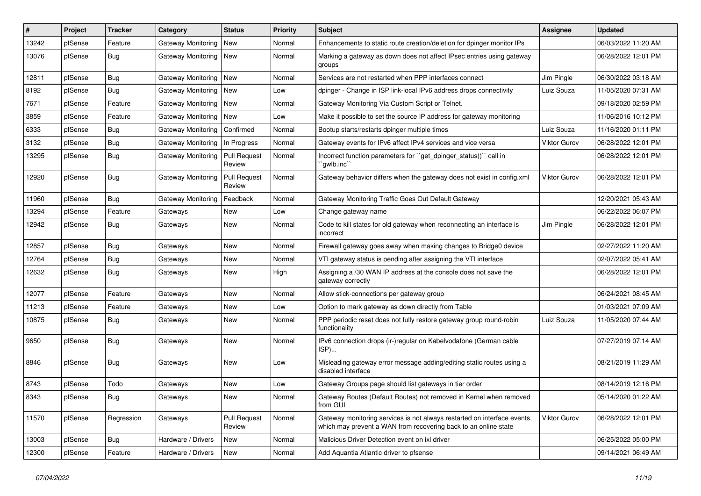| ∦     | Project | <b>Tracker</b> | Category                  | <b>Status</b>                 | <b>Priority</b> | <b>Subject</b>                                                                                                                              | <b>Assignee</b>     | <b>Updated</b>      |
|-------|---------|----------------|---------------------------|-------------------------------|-----------------|---------------------------------------------------------------------------------------------------------------------------------------------|---------------------|---------------------|
| 13242 | pfSense | Feature        | Gateway Monitoring        | New                           | Normal          | Enhancements to static route creation/deletion for dpinger monitor IPs                                                                      |                     | 06/03/2022 11:20 AM |
| 13076 | pfSense | <b>Bug</b>     | Gateway Monitoring        | New                           | Normal          | Marking a gateway as down does not affect IPsec entries using gateway<br>groups                                                             |                     | 06/28/2022 12:01 PM |
| 12811 | pfSense | Bug            | Gateway Monitoring        | New                           | Normal          | Services are not restarted when PPP interfaces connect                                                                                      | Jim Pingle          | 06/30/2022 03:18 AM |
| 8192  | pfSense | <b>Bug</b>     | Gateway Monitoring        | New                           | Low             | dpinger - Change in ISP link-local IPv6 address drops connectivity                                                                          | Luiz Souza          | 11/05/2020 07:31 AM |
| 7671  | pfSense | Feature        | Gateway Monitoring        | New                           | Normal          | Gateway Monitoring Via Custom Script or Telnet.                                                                                             |                     | 09/18/2020 02:59 PM |
| 3859  | pfSense | Feature        | Gateway Monitoring   New  |                               | Low             | Make it possible to set the source IP address for gateway monitoring                                                                        |                     | 11/06/2016 10:12 PM |
| 6333  | pfSense | <b>Bug</b>     | <b>Gateway Monitoring</b> | Confirmed                     | Normal          | Bootup starts/restarts dpinger multiple times                                                                                               | Luiz Souza          | 11/16/2020 01:11 PM |
| 3132  | pfSense | <b>Bug</b>     | Gateway Monitoring        | In Progress                   | Normal          | Gateway events for IPv6 affect IPv4 services and vice versa                                                                                 | <b>Viktor Gurov</b> | 06/28/2022 12:01 PM |
| 13295 | pfSense | <b>Bug</b>     | Gateway Monitoring        | <b>Pull Request</b><br>Review | Normal          | Incorrect function parameters for "get_dpinger_status()" call in<br>`qwlb.inc``                                                             |                     | 06/28/2022 12:01 PM |
| 12920 | pfSense | Bug            | Gateway Monitoring        | <b>Pull Request</b><br>Review | Normal          | Gateway behavior differs when the gateway does not exist in config.xml                                                                      | Viktor Gurov        | 06/28/2022 12:01 PM |
| 11960 | pfSense | <b>Bug</b>     | Gateway Monitoring        | Feedback                      | Normal          | Gateway Monitoring Traffic Goes Out Default Gateway                                                                                         |                     | 12/20/2021 05:43 AM |
| 13294 | pfSense | Feature        | Gateways                  | New                           | Low             | Change gateway name                                                                                                                         |                     | 06/22/2022 06:07 PM |
| 12942 | pfSense | <b>Bug</b>     | Gateways                  | <b>New</b>                    | Normal          | Code to kill states for old gateway when reconnecting an interface is<br>incorrect                                                          | Jim Pingle          | 06/28/2022 12:01 PM |
| 12857 | pfSense | <b>Bug</b>     | Gateways                  | <b>New</b>                    | Normal          | Firewall gateway goes away when making changes to Bridge0 device                                                                            |                     | 02/27/2022 11:20 AM |
| 12764 | pfSense | <b>Bug</b>     | Gateways                  | New                           | Normal          | VTI gateway status is pending after assigning the VTI interface                                                                             |                     | 02/07/2022 05:41 AM |
| 12632 | pfSense | <b>Bug</b>     | Gateways                  | <b>New</b>                    | High            | Assigning a /30 WAN IP address at the console does not save the<br>gateway correctly                                                        |                     | 06/28/2022 12:01 PM |
| 12077 | pfSense | Feature        | Gateways                  | New                           | Normal          | Allow stick-connections per gateway group                                                                                                   |                     | 06/24/2021 08:45 AM |
| 11213 | pfSense | Feature        | Gateways                  | New                           | Low             | Option to mark gateway as down directly from Table                                                                                          |                     | 01/03/2021 07:09 AM |
| 10875 | pfSense | Bug            | Gateways                  | New                           | Normal          | PPP periodic reset does not fully restore gateway group round-robin<br>functionality                                                        | Luiz Souza          | 11/05/2020 07:44 AM |
| 9650  | pfSense | <b>Bug</b>     | Gateways                  | <b>New</b>                    | Normal          | IPv6 connection drops (ir-)regular on Kabelvodafone (German cable<br>ISP)                                                                   |                     | 07/27/2019 07:14 AM |
| 8846  | pfSense | Bug            | Gateways                  | New                           | Low             | Misleading gateway error message adding/editing static routes using a<br>disabled interface                                                 |                     | 08/21/2019 11:29 AM |
| 8743  | pfSense | Todo           | Gateways                  | New                           | Low             | Gateway Groups page should list gateways in tier order                                                                                      |                     | 08/14/2019 12:16 PM |
| 8343  | pfSense | Bug            | Gateways                  | New                           | Normal          | Gateway Routes (Default Routes) not removed in Kernel when removed<br>from GUI                                                              |                     | 05/14/2020 01:22 AM |
| 11570 | pfSense | Regression     | Gateways                  | <b>Pull Request</b><br>Review | Normal          | Gateway monitoring services is not always restarted on interface events,<br>which may prevent a WAN from recovering back to an online state | Viktor Gurov        | 06/28/2022 12:01 PM |
| 13003 | pfSense | <b>Bug</b>     | Hardware / Drivers        | New                           | Normal          | Malicious Driver Detection event on ixl driver                                                                                              |                     | 06/25/2022 05:00 PM |
| 12300 | pfSense | Feature        | Hardware / Drivers        | New                           | Normal          | Add Aquantia Atlantic driver to pfsense                                                                                                     |                     | 09/14/2021 06:49 AM |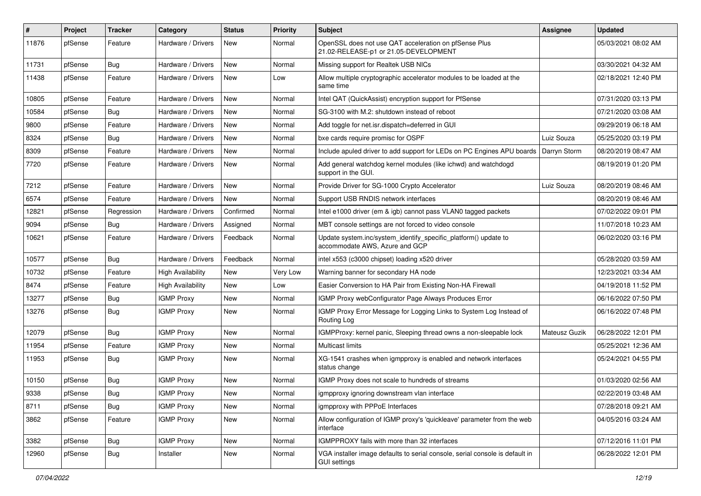| $\vert$ # | Project | <b>Tracker</b> | Category                 | <b>Status</b> | <b>Priority</b> | <b>Subject</b>                                                                                      | <b>Assignee</b> | <b>Updated</b>      |
|-----------|---------|----------------|--------------------------|---------------|-----------------|-----------------------------------------------------------------------------------------------------|-----------------|---------------------|
| 11876     | pfSense | Feature        | Hardware / Drivers       | New           | Normal          | OpenSSL does not use QAT acceleration on pfSense Plus<br>21.02-RELEASE-p1 or 21.05-DEVELOPMENT      |                 | 05/03/2021 08:02 AM |
| 11731     | pfSense | <b>Bug</b>     | Hardware / Drivers       | New           | Normal          | Missing support for Realtek USB NICs                                                                |                 | 03/30/2021 04:32 AM |
| 11438     | pfSense | Feature        | Hardware / Drivers       | New           | Low             | Allow multiple cryptographic accelerator modules to be loaded at the<br>same time                   |                 | 02/18/2021 12:40 PM |
| 10805     | pfSense | Feature        | Hardware / Drivers       | New           | Normal          | Intel QAT (QuickAssist) encryption support for PfSense                                              |                 | 07/31/2020 03:13 PM |
| 10584     | pfSense | <b>Bug</b>     | Hardware / Drivers       | New           | Normal          | SG-3100 with M.2: shutdown instead of reboot                                                        |                 | 07/21/2020 03:08 AM |
| 9800      | pfSense | Feature        | Hardware / Drivers       | <b>New</b>    | Normal          | Add toggle for net.isr.dispatch=deferred in GUI                                                     |                 | 09/29/2019 06:18 AM |
| 8324      | pfSense | Bug            | Hardware / Drivers       | New           | Normal          | bxe cards require promisc for OSPF                                                                  | Luiz Souza      | 05/25/2020 03:19 PM |
| 8309      | pfSense | Feature        | Hardware / Drivers       | New           | Normal          | Include apuled driver to add support for LEDs on PC Engines APU boards                              | Darryn Storm    | 08/20/2019 08:47 AM |
| 7720      | pfSense | Feature        | Hardware / Drivers       | New           | Normal          | Add general watchdog kernel modules (like ichwd) and watchdogd<br>support in the GUI.               |                 | 08/19/2019 01:20 PM |
| 7212      | pfSense | Feature        | Hardware / Drivers       | New           | Normal          | Provide Driver for SG-1000 Crypto Accelerator                                                       | Luiz Souza      | 08/20/2019 08:46 AM |
| 6574      | pfSense | Feature        | Hardware / Drivers       | New           | Normal          | Support USB RNDIS network interfaces                                                                |                 | 08/20/2019 08:46 AM |
| 12821     | pfSense | Regression     | Hardware / Drivers       | Confirmed     | Normal          | Intel e1000 driver (em & igb) cannot pass VLAN0 tagged packets                                      |                 | 07/02/2022 09:01 PM |
| 9094      | pfSense | <b>Bug</b>     | Hardware / Drivers       | Assigned      | Normal          | MBT console settings are not forced to video console                                                |                 | 11/07/2018 10:23 AM |
| 10621     | pfSense | Feature        | Hardware / Drivers       | Feedback      | Normal          | Update system.inc/system_identify_specific_platform() update to<br>accommodate AWS, Azure and GCP   |                 | 06/02/2020 03:16 PM |
| 10577     | pfSense | Bug            | Hardware / Drivers       | Feedback      | Normal          | intel x553 (c3000 chipset) loading x520 driver                                                      |                 | 05/28/2020 03:59 AM |
| 10732     | pfSense | Feature        | <b>High Availability</b> | New           | Very Low        | Warning banner for secondary HA node                                                                |                 | 12/23/2021 03:34 AM |
| 8474      | pfSense | Feature        | <b>High Availability</b> | New           | Low             | Easier Conversion to HA Pair from Existing Non-HA Firewall                                          |                 | 04/19/2018 11:52 PM |
| 13277     | pfSense | <b>Bug</b>     | <b>IGMP Proxy</b>        | New           | Normal          | IGMP Proxy webConfigurator Page Always Produces Error                                               |                 | 06/16/2022 07:50 PM |
| 13276     | pfSense | <b>Bug</b>     | <b>IGMP Proxy</b>        | New           | Normal          | IGMP Proxy Error Message for Logging Links to System Log Instead of<br>Routing Log                  |                 | 06/16/2022 07:48 PM |
| 12079     | pfSense | <b>Bug</b>     | <b>IGMP Proxy</b>        | <b>New</b>    | Normal          | IGMPProxy: kernel panic, Sleeping thread owns a non-sleepable lock                                  | Mateusz Guzik   | 06/28/2022 12:01 PM |
| 11954     | pfSense | Feature        | <b>IGMP Proxy</b>        | New           | Normal          | Multicast limits                                                                                    |                 | 05/25/2021 12:36 AM |
| 11953     | pfSense | <b>Bug</b>     | <b>IGMP Proxy</b>        | New           | Normal          | XG-1541 crashes when igmpproxy is enabled and network interfaces<br>status change                   |                 | 05/24/2021 04:55 PM |
| 10150     | pfSense | <b>Bug</b>     | <b>IGMP Proxy</b>        | <b>New</b>    | Normal          | IGMP Proxy does not scale to hundreds of streams                                                    |                 | 01/03/2020 02:56 AM |
| 9338      | pfSense | Bug            | <b>IGMP Proxy</b>        | New           | Normal          | igmpproxy ignoring downstream vlan interface                                                        |                 | 02/22/2019 03:48 AM |
| 8711      | pfSense | <b>Bug</b>     | <b>IGMP Proxy</b>        | New           | Normal          | igmpproxy with PPPoE Interfaces                                                                     |                 | 07/28/2018 09:21 AM |
| 3862      | pfSense | Feature        | <b>IGMP Proxy</b>        | New           | Normal          | Allow configuration of IGMP proxy's 'quickleave' parameter from the web<br>interface                |                 | 04/05/2016 03:24 AM |
| 3382      | pfSense | <b>Bug</b>     | <b>IGMP Proxy</b>        | New           | Normal          | IGMPPROXY fails with more than 32 interfaces                                                        |                 | 07/12/2016 11:01 PM |
| 12960     | pfSense | <b>Bug</b>     | Installer                | New           | Normal          | VGA installer image defaults to serial console, serial console is default in<br><b>GUI settings</b> |                 | 06/28/2022 12:01 PM |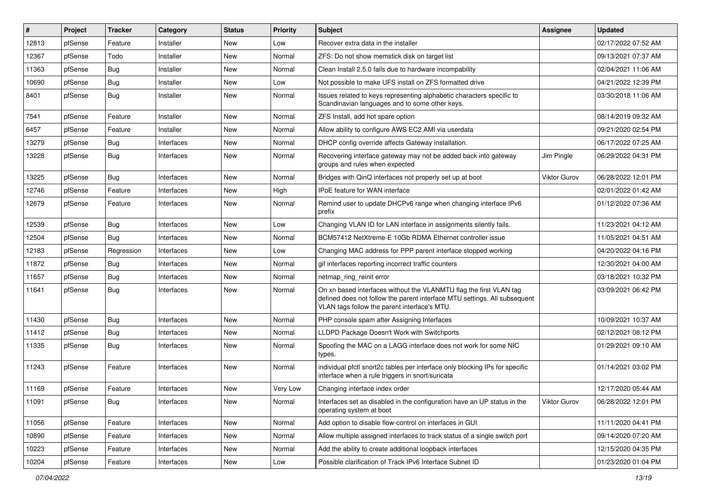| #     | Project | <b>Tracker</b> | Category   | <b>Status</b> | <b>Priority</b> | <b>Subject</b>                                                                                                                                                                                  | <b>Assignee</b> | <b>Updated</b>      |
|-------|---------|----------------|------------|---------------|-----------------|-------------------------------------------------------------------------------------------------------------------------------------------------------------------------------------------------|-----------------|---------------------|
| 12813 | pfSense | Feature        | Installer  | New           | Low             | Recover extra data in the installer                                                                                                                                                             |                 | 02/17/2022 07:52 AM |
| 12367 | pfSense | Todo           | Installer  | <b>New</b>    | Normal          | ZFS: Do not show memstick disk on target list                                                                                                                                                   |                 | 09/13/2021 07:37 AM |
| 11363 | pfSense | <b>Bug</b>     | Installer  | New           | Normal          | Clean Install 2.5.0 fails due to hardware incompability                                                                                                                                         |                 | 02/04/2021 11:06 AM |
| 10690 | pfSense | <b>Bug</b>     | Installer  | <b>New</b>    | Low             | Not possible to make UFS install on ZFS formatted drive                                                                                                                                         |                 | 04/21/2022 12:39 PM |
| 8401  | pfSense | <b>Bug</b>     | Installer  | New           | Normal          | Issues related to keys representing alphabetic characters specific to<br>Scandinavian languages and to some other keys.                                                                         |                 | 03/30/2018 11:06 AM |
| 7541  | pfSense | Feature        | Installer  | New           | Normal          | ZFS Install, add hot spare option                                                                                                                                                               |                 | 08/14/2019 09:32 AM |
| 6457  | pfSense | Feature        | Installer  | <b>New</b>    | Normal          | Allow ability to configure AWS EC2 AMI via userdata                                                                                                                                             |                 | 09/21/2020 02:54 PM |
| 13279 | pfSense | <b>Bug</b>     | Interfaces | New           | Normal          | DHCP config override affects Gateway installation.                                                                                                                                              |                 | 06/17/2022 07:25 AM |
| 13228 | pfSense | Bug            | Interfaces | <b>New</b>    | Normal          | Recovering interface gateway may not be added back into gateway<br>groups and rules when expected                                                                                               | Jim Pingle      | 06/29/2022 04:31 PM |
| 13225 | pfSense | <b>Bug</b>     | Interfaces | <b>New</b>    | Normal          | Bridges with QinQ interfaces not properly set up at boot                                                                                                                                        | Viktor Gurov    | 06/28/2022 12:01 PM |
| 12746 | pfSense | Feature        | Interfaces | New           | High            | IPoE feature for WAN interface                                                                                                                                                                  |                 | 02/01/2022 01:42 AM |
| 12679 | pfSense | Feature        | Interfaces | <b>New</b>    | Normal          | Remind user to update DHCPv6 range when changing interface IPv6<br>prefix                                                                                                                       |                 | 01/12/2022 07:36 AM |
| 12539 | pfSense | <b>Bug</b>     | Interfaces | <b>New</b>    | Low             | Changing VLAN ID for LAN interface in assignments silently fails.                                                                                                                               |                 | 11/23/2021 04:12 AM |
| 12504 | pfSense | <b>Bug</b>     | Interfaces | New           | Normal          | BCM57412 NetXtreme-E 10Gb RDMA Ethernet controller issue                                                                                                                                        |                 | 11/05/2021 04:51 AM |
| 12183 | pfSense | Regression     | Interfaces | <b>New</b>    | Low             | Changing MAC address for PPP parent interface stopped working                                                                                                                                   |                 | 04/20/2022 04:16 PM |
| 11872 | pfSense | Bug            | Interfaces | New           | Normal          | gif interfaces reporting incorrect traffic counters                                                                                                                                             |                 | 12/30/2021 04:00 AM |
| 11657 | pfSense | <b>Bug</b>     | Interfaces | New           | Normal          | netmap_ring_reinit error                                                                                                                                                                        |                 | 03/18/2021 10:32 PM |
| 11641 | pfSense | <b>Bug</b>     | Interfaces | <b>New</b>    | Normal          | On xn based interfaces without the VLANMTU flag the first VLAN tag<br>defined does not follow the parent interface MTU settings. All subsequent<br>VLAN tags follow the parent interface's MTU. |                 | 03/09/2021 06:42 PM |
| 11430 | pfSense | <b>Bug</b>     | Interfaces | <b>New</b>    | Normal          | PHP console spam after Assigning Interfaces                                                                                                                                                     |                 | 10/09/2021 10:37 AM |
| 11412 | pfSense | <b>Bug</b>     | Interfaces | New           | Normal          | LLDPD Package Doesn't Work with Switchports                                                                                                                                                     |                 | 02/12/2021 08:12 PM |
| 11335 | pfSense | <b>Bug</b>     | Interfaces | New           | Normal          | Spoofing the MAC on a LAGG interface does not work for some NIC<br>types.                                                                                                                       |                 | 01/29/2021 09:10 AM |
| 11243 | pfSense | Feature        | Interfaces | New           | Normal          | individual pfctl snort2c tables per interface only blocking IPs for specific<br>interface when a rule triggers in snort/suricata                                                                |                 | 01/14/2021 03:02 PM |
| 11169 | pfSense | Feature        | Interfaces | New           | Very Low        | Changing interface index order                                                                                                                                                                  |                 | 12/17/2020 05:44 AM |
| 11091 | pfSense | Bug            | Interfaces | New           | Normal          | Interfaces set as disabled in the configuration have an UP status in the<br>operating system at boot                                                                                            | Viktor Gurov    | 06/28/2022 12:01 PM |
| 11056 | pfSense | Feature        | Interfaces | New           | Normal          | Add option to disable flow-control on interfaces in GUI                                                                                                                                         |                 | 11/11/2020 04:41 PM |
| 10890 | pfSense | Feature        | Interfaces | New           | Normal          | Allow multiple assigned interfaces to track status of a single switch port                                                                                                                      |                 | 09/14/2020 07:20 AM |
| 10223 | pfSense | Feature        | Interfaces | New           | Normal          | Add the ability to create additional loopback interfaces                                                                                                                                        |                 | 12/15/2020 04:35 PM |
| 10204 | pfSense | Feature        | Interfaces | New           | Low             | Possible clarification of Track IPv6 Interface Subnet ID                                                                                                                                        |                 | 01/23/2020 01:04 PM |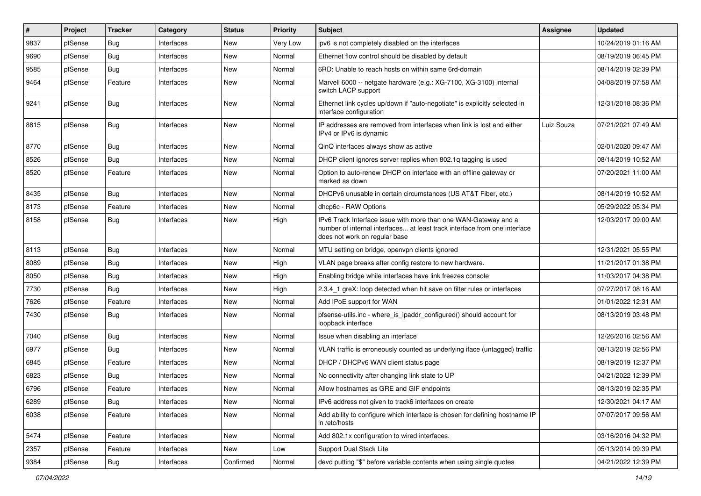| $\vert$ # | Project | <b>Tracker</b> | Category   | <b>Status</b> | <b>Priority</b> | <b>Subject</b>                                                                                                                                                                | <b>Assignee</b> | <b>Updated</b>      |
|-----------|---------|----------------|------------|---------------|-----------------|-------------------------------------------------------------------------------------------------------------------------------------------------------------------------------|-----------------|---------------------|
| 9837      | pfSense | <b>Bug</b>     | Interfaces | New           | Very Low        | ipv6 is not completely disabled on the interfaces                                                                                                                             |                 | 10/24/2019 01:16 AM |
| 9690      | pfSense | Bug            | Interfaces | <b>New</b>    | Normal          | Ethernet flow control should be disabled by default                                                                                                                           |                 | 08/19/2019 06:45 PM |
| 9585      | pfSense | Bug            | Interfaces | New           | Normal          | 6RD: Unable to reach hosts on within same 6rd-domain                                                                                                                          |                 | 08/14/2019 02:39 PM |
| 9464      | pfSense | Feature        | Interfaces | <b>New</b>    | Normal          | Marvell 6000 -- netgate hardware (e.g.: XG-7100, XG-3100) internal<br>switch LACP support                                                                                     |                 | 04/08/2019 07:58 AM |
| 9241      | pfSense | Bug            | Interfaces | New           | Normal          | Ethernet link cycles up/down if "auto-negotiate" is explicitly selected in<br>interface configuration                                                                         |                 | 12/31/2018 08:36 PM |
| 8815      | pfSense | Bug            | Interfaces | <b>New</b>    | Normal          | IP addresses are removed from interfaces when link is lost and either<br>IPv4 or IPv6 is dynamic                                                                              | Luiz Souza      | 07/21/2021 07:49 AM |
| 8770      | pfSense | Bug            | Interfaces | <b>New</b>    | Normal          | QinQ interfaces always show as active                                                                                                                                         |                 | 02/01/2020 09:47 AM |
| 8526      | pfSense | Bug            | Interfaces | New           | Normal          | DHCP client ignores server replies when 802.1q tagging is used                                                                                                                |                 | 08/14/2019 10:52 AM |
| 8520      | pfSense | Feature        | Interfaces | <b>New</b>    | Normal          | Option to auto-renew DHCP on interface with an offline gateway or<br>marked as down                                                                                           |                 | 07/20/2021 11:00 AM |
| 8435      | pfSense | Bug            | Interfaces | New           | Normal          | DHCPv6 unusable in certain circumstances (US AT&T Fiber, etc.)                                                                                                                |                 | 08/14/2019 10:52 AM |
| 8173      | pfSense | Feature        | Interfaces | <b>New</b>    | Normal          | dhcp6c - RAW Options                                                                                                                                                          |                 | 05/29/2022 05:34 PM |
| 8158      | pfSense | Bug            | Interfaces | New           | High            | IPv6 Track Interface issue with more than one WAN-Gateway and a<br>number of internal interfaces at least track interface from one interface<br>does not work on regular base |                 | 12/03/2017 09:00 AM |
| 8113      | pfSense | <b>Bug</b>     | Interfaces | <b>New</b>    | Normal          | MTU setting on bridge, openvpn clients ignored                                                                                                                                |                 | 12/31/2021 05:55 PM |
| 8089      | pfSense | <b>Bug</b>     | Interfaces | New           | High            | VLAN page breaks after config restore to new hardware.                                                                                                                        |                 | 11/21/2017 01:38 PM |
| 8050      | pfSense | Bug            | Interfaces | <b>New</b>    | High            | Enabling bridge while interfaces have link freezes console                                                                                                                    |                 | 11/03/2017 04:38 PM |
| 7730      | pfSense | Bug            | Interfaces | New           | High            | 2.3.4 1 greX: loop detected when hit save on filter rules or interfaces                                                                                                       |                 | 07/27/2017 08:16 AM |
| 7626      | pfSense | Feature        | Interfaces | <b>New</b>    | Normal          | Add IPoE support for WAN                                                                                                                                                      |                 | 01/01/2022 12:31 AM |
| 7430      | pfSense | <b>Bug</b>     | Interfaces | <b>New</b>    | Normal          | pfsense-utils.inc - where_is_ipaddr_configured() should account for<br>loopback interface                                                                                     |                 | 08/13/2019 03:48 PM |
| 7040      | pfSense | <b>Bug</b>     | Interfaces | <b>New</b>    | Normal          | Issue when disabling an interface                                                                                                                                             |                 | 12/26/2016 02:56 AM |
| 6977      | pfSense | <b>Bug</b>     | Interfaces | <b>New</b>    | Normal          | VLAN traffic is erroneously counted as underlying iface (untagged) traffic                                                                                                    |                 | 08/13/2019 02:56 PM |
| 6845      | pfSense | Feature        | Interfaces | New           | Normal          | DHCP / DHCPv6 WAN client status page                                                                                                                                          |                 | 08/19/2019 12:37 PM |
| 6823      | pfSense | <b>Bug</b>     | Interfaces | <b>New</b>    | Normal          | No connectivity after changing link state to UP                                                                                                                               |                 | 04/21/2022 12:39 PM |
| 6796      | pfSense | Feature        | Interfaces | <b>New</b>    | Normal          | Allow hostnames as GRE and GIF endpoints                                                                                                                                      |                 | 08/13/2019 02:35 PM |
| 6289      | pfSense | <b>Bug</b>     | Interfaces | New           | Normal          | IPv6 address not given to track6 interfaces on create                                                                                                                         |                 | 12/30/2021 04:17 AM |
| 6038      | pfSense | Feature        | Interfaces | New           | Normal          | Add ability to configure which interface is chosen for defining hostname IP<br>in /etc/hosts                                                                                  |                 | 07/07/2017 09:56 AM |
| 5474      | pfSense | Feature        | Interfaces | New           | Normal          | Add 802.1x configuration to wired interfaces.                                                                                                                                 |                 | 03/16/2016 04:32 PM |
| 2357      | pfSense | Feature        | Interfaces | New           | Low             | Support Dual Stack Lite                                                                                                                                                       |                 | 05/13/2014 09:39 PM |
| 9384      | pfSense | Bug            | Interfaces | Confirmed     | Normal          | devd putting "\$" before variable contents when using single quotes                                                                                                           |                 | 04/21/2022 12:39 PM |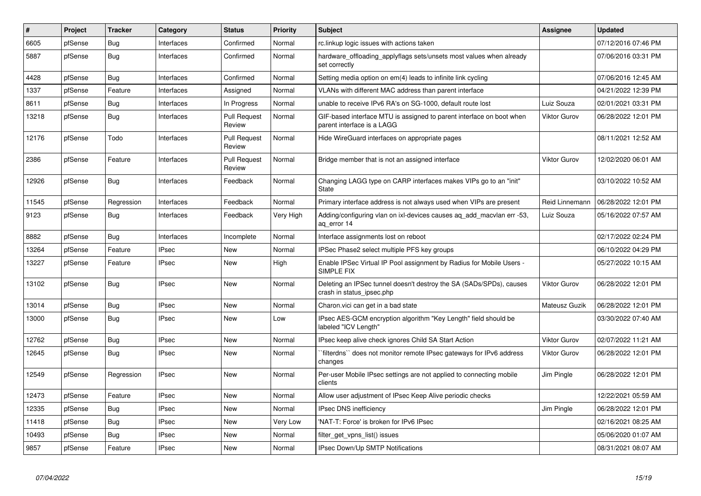| #     | Project | <b>Tracker</b> | Category     | <b>Status</b>                 | <b>Priority</b> | <b>Subject</b>                                                                                     | <b>Assignee</b>     | <b>Updated</b>      |
|-------|---------|----------------|--------------|-------------------------------|-----------------|----------------------------------------------------------------------------------------------------|---------------------|---------------------|
| 6605  | pfSense | Bug            | Interfaces   | Confirmed                     | Normal          | rc.linkup logic issues with actions taken                                                          |                     | 07/12/2016 07:46 PM |
| 5887  | pfSense | <b>Bug</b>     | Interfaces   | Confirmed                     | Normal          | hardware offloading applyflags sets/unsets most values when already<br>set correctly               |                     | 07/06/2016 03:31 PM |
| 4428  | pfSense | <b>Bug</b>     | Interfaces   | Confirmed                     | Normal          | Setting media option on em(4) leads to infinite link cycling                                       |                     | 07/06/2016 12:45 AM |
| 1337  | pfSense | Feature        | Interfaces   | Assigned                      | Normal          | VLANs with different MAC address than parent interface                                             |                     | 04/21/2022 12:39 PM |
| 8611  | pfSense | Bug            | Interfaces   | In Progress                   | Normal          | unable to receive IPv6 RA's on SG-1000, default route lost                                         | Luiz Souza          | 02/01/2021 03:31 PM |
| 13218 | pfSense | Bug            | Interfaces   | <b>Pull Request</b><br>Review | Normal          | GIF-based interface MTU is assigned to parent interface on boot when<br>parent interface is a LAGG | <b>Viktor Gurov</b> | 06/28/2022 12:01 PM |
| 12176 | pfSense | Todo           | Interfaces   | <b>Pull Request</b><br>Review | Normal          | Hide WireGuard interfaces on appropriate pages                                                     |                     | 08/11/2021 12:52 AM |
| 2386  | pfSense | Feature        | Interfaces   | <b>Pull Request</b><br>Review | Normal          | Bridge member that is not an assigned interface                                                    | <b>Viktor Gurov</b> | 12/02/2020 06:01 AM |
| 12926 | pfSense | <b>Bug</b>     | Interfaces   | Feedback                      | Normal          | Changing LAGG type on CARP interfaces makes VIPs go to an "init"<br>State                          |                     | 03/10/2022 10:52 AM |
| 11545 | pfSense | Regression     | Interfaces   | Feedback                      | Normal          | Primary interface address is not always used when VIPs are present                                 | Reid Linnemann      | 06/28/2022 12:01 PM |
| 9123  | pfSense | Bug            | Interfaces   | Feedback                      | Very High       | Adding/configuring vlan on ixl-devices causes ag add macvlan err -53,<br>aq_error 14               | Luiz Souza          | 05/16/2022 07:57 AM |
| 8882  | pfSense | Bug            | Interfaces   | Incomplete                    | Normal          | Interface assignments lost on reboot                                                               |                     | 02/17/2022 02:24 PM |
| 13264 | pfSense | Feature        | <b>IPsec</b> | <b>New</b>                    | Normal          | IPSec Phase2 select multiple PFS key groups                                                        |                     | 06/10/2022 04:29 PM |
| 13227 | pfSense | Feature        | <b>IPsec</b> | <b>New</b>                    | High            | Enable IPSec Virtual IP Pool assignment by Radius for Mobile Users -<br>SIMPLE FIX                 |                     | 05/27/2022 10:15 AM |
| 13102 | pfSense | Bug            | <b>IPsec</b> | <b>New</b>                    | Normal          | Deleting an IPSec tunnel doesn't destroy the SA (SADs/SPDs), causes<br>crash in status ipsec.php   | <b>Viktor Gurov</b> | 06/28/2022 12:01 PM |
| 13014 | pfSense | Bug            | <b>IPsec</b> | <b>New</b>                    | Normal          | Charon.vici can get in a bad state                                                                 | Mateusz Guzik       | 06/28/2022 12:01 PM |
| 13000 | pfSense | Bug            | <b>IPsec</b> | New                           | Low             | IPsec AES-GCM encryption algorithm "Key Length" field should be<br>labeled "ICV Length"            |                     | 03/30/2022 07:40 AM |
| 12762 | pfSense | Bug            | <b>IPsec</b> | <b>New</b>                    | Normal          | IPsec keep alive check ignores Child SA Start Action                                               | Viktor Gurov        | 02/07/2022 11:21 AM |
| 12645 | pfSense | <b>Bug</b>     | IPsec        | New                           | Normal          | `filterdns`` does not monitor remote IPsec gateways for IPv6 address<br>changes                    | Viktor Gurov        | 06/28/2022 12:01 PM |
| 12549 | pfSense | Regression     | <b>IPsec</b> | <b>New</b>                    | Normal          | Per-user Mobile IPsec settings are not applied to connecting mobile<br>clients                     | Jim Pingle          | 06/28/2022 12:01 PM |
| 12473 | pfSense | Feature        | <b>IPsec</b> | New                           | Normal          | Allow user adjustment of IPsec Keep Alive periodic checks                                          |                     | 12/22/2021 05:59 AM |
| 12335 | pfSense | <b>Bug</b>     | <b>IPsec</b> | <b>New</b>                    | Normal          | IPsec DNS inefficiency                                                                             | Jim Pingle          | 06/28/2022 12:01 PM |
| 11418 | pfSense | <b>Bug</b>     | <b>IPsec</b> | New                           | Very Low        | 'NAT-T: Force' is broken for IPv6 IPsec                                                            |                     | 02/16/2021 08:25 AM |
| 10493 | pfSense | Bug            | <b>IPsec</b> | <b>New</b>                    | Normal          | filter get vpns list() issues                                                                      |                     | 05/06/2020 01:07 AM |
| 9857  | pfSense | Feature        | <b>IPsec</b> | <b>New</b>                    | Normal          | IPsec Down/Up SMTP Notifications                                                                   |                     | 08/31/2021 08:07 AM |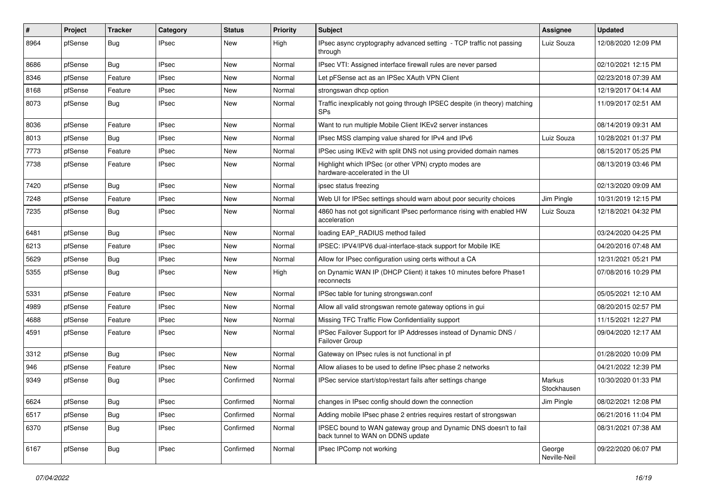| $\#$ | <b>Project</b> | <b>Tracker</b> | Category     | <b>Status</b> | <b>Priority</b> | <b>Subject</b>                                                                                        | <b>Assignee</b>        | <b>Updated</b>      |
|------|----------------|----------------|--------------|---------------|-----------------|-------------------------------------------------------------------------------------------------------|------------------------|---------------------|
| 8964 | pfSense        | <b>Bug</b>     | <b>IPsec</b> | New           | High            | IPsec async cryptography advanced setting - TCP traffic not passing<br>through                        | Luiz Souza             | 12/08/2020 12:09 PM |
| 8686 | pfSense        | Bug            | <b>IPsec</b> | New           | Normal          | IPsec VTI: Assigned interface firewall rules are never parsed                                         |                        | 02/10/2021 12:15 PM |
| 8346 | pfSense        | Feature        | IPsec        | New           | Normal          | Let pFSense act as an IPSec XAuth VPN Client                                                          |                        | 02/23/2018 07:39 AM |
| 8168 | pfSense        | Feature        | <b>IPsec</b> | New           | Normal          | strongswan dhcp option                                                                                |                        | 12/19/2017 04:14 AM |
| 8073 | pfSense        | Bug            | <b>IPsec</b> | New           | Normal          | Traffic inexplicably not going through IPSEC despite (in theory) matching<br><b>SPs</b>               |                        | 11/09/2017 02:51 AM |
| 8036 | pfSense        | Feature        | <b>IPsec</b> | <b>New</b>    | Normal          | Want to run multiple Mobile Client IKEv2 server instances                                             |                        | 08/14/2019 09:31 AM |
| 8013 | pfSense        | <b>Bug</b>     | <b>IPsec</b> | New           | Normal          | IPsec MSS clamping value shared for IPv4 and IPv6                                                     | Luiz Souza             | 10/28/2021 01:37 PM |
| 7773 | pfSense        | Feature        | <b>IPsec</b> | New           | Normal          | IPSec using IKEv2 with split DNS not using provided domain names                                      |                        | 08/15/2017 05:25 PM |
| 7738 | pfSense        | Feature        | <b>IPsec</b> | New           | Normal          | Highlight which IPSec (or other VPN) crypto modes are<br>hardware-accelerated in the UI               |                        | 08/13/2019 03:46 PM |
| 7420 | pfSense        | <b>Bug</b>     | <b>IPsec</b> | <b>New</b>    | Normal          | ipsec status freezing                                                                                 |                        | 02/13/2020 09:09 AM |
| 7248 | pfSense        | Feature        | IPsec        | New           | Normal          | Web UI for IPSec settings should warn about poor security choices                                     | Jim Pingle             | 10/31/2019 12:15 PM |
| 7235 | pfSense        | <b>Bug</b>     | <b>IPsec</b> | New           | Normal          | 4860 has not got significant IPsec performance rising with enabled HW<br>acceleration                 | Luiz Souza             | 12/18/2021 04:32 PM |
| 6481 | pfSense        | <b>Bug</b>     | <b>IPsec</b> | New           | Normal          | loading EAP_RADIUS method failed                                                                      |                        | 03/24/2020 04:25 PM |
| 6213 | pfSense        | Feature        | <b>IPsec</b> | <b>New</b>    | Normal          | IPSEC: IPV4/IPV6 dual-interface-stack support for Mobile IKE                                          |                        | 04/20/2016 07:48 AM |
| 5629 | pfSense        | <b>Bug</b>     | <b>IPsec</b> | New           | Normal          | Allow for IPsec configuration using certs without a CA                                                |                        | 12/31/2021 05:21 PM |
| 5355 | pfSense        | <b>Bug</b>     | <b>IPsec</b> | New           | High            | on Dynamic WAN IP (DHCP Client) it takes 10 minutes before Phase1<br>reconnects                       |                        | 07/08/2016 10:29 PM |
| 5331 | pfSense        | Feature        | <b>IPsec</b> | New           | Normal          | IPSec table for tuning strongswan.conf                                                                |                        | 05/05/2021 12:10 AM |
| 4989 | pfSense        | Feature        | <b>IPsec</b> | New           | Normal          | Allow all valid strongswan remote gateway options in gui                                              |                        | 08/20/2015 02:57 PM |
| 4688 | pfSense        | Feature        | <b>IPsec</b> | <b>New</b>    | Normal          | Missing TFC Traffic Flow Confidentiality support                                                      |                        | 11/15/2021 12:27 PM |
| 4591 | pfSense        | Feature        | <b>IPsec</b> | New           | Normal          | IPSec Failover Support for IP Addresses instead of Dynamic DNS /<br>Failover Group                    |                        | 09/04/2020 12:17 AM |
| 3312 | pfSense        | <b>Bug</b>     | <b>IPsec</b> | New           | Normal          | Gateway on IPsec rules is not functional in pf                                                        |                        | 01/28/2020 10:09 PM |
| 946  | pfSense        | Feature        | IPsec        | New           | Normal          | Allow aliases to be used to define IPsec phase 2 networks                                             |                        | 04/21/2022 12:39 PM |
| 9349 | pfSense        | <b>Bug</b>     | <b>IPsec</b> | Confirmed     | Normal          | IPSec service start/stop/restart fails after settings change                                          | Markus<br>Stockhausen  | 10/30/2020 01:33 PM |
| 6624 | pfSense        | <b>Bug</b>     | <b>IPsec</b> | Confirmed     | Normal          | changes in IPsec config should down the connection                                                    | Jim Pingle             | 08/02/2021 12:08 PM |
| 6517 | pfSense        | Bug            | <b>IPsec</b> | Confirmed     | Normal          | Adding mobile IPsec phase 2 entries requires restart of strongswan                                    |                        | 06/21/2016 11:04 PM |
| 6370 | pfSense        | <b>Bug</b>     | <b>IPsec</b> | Confirmed     | Normal          | IPSEC bound to WAN gateway group and Dynamic DNS doesn't to fail<br>back tunnel to WAN on DDNS update |                        | 08/31/2021 07:38 AM |
| 6167 | pfSense        | <b>Bug</b>     | <b>IPsec</b> | Confirmed     | Normal          | IPsec IPComp not working                                                                              | George<br>Neville-Neil | 09/22/2020 06:07 PM |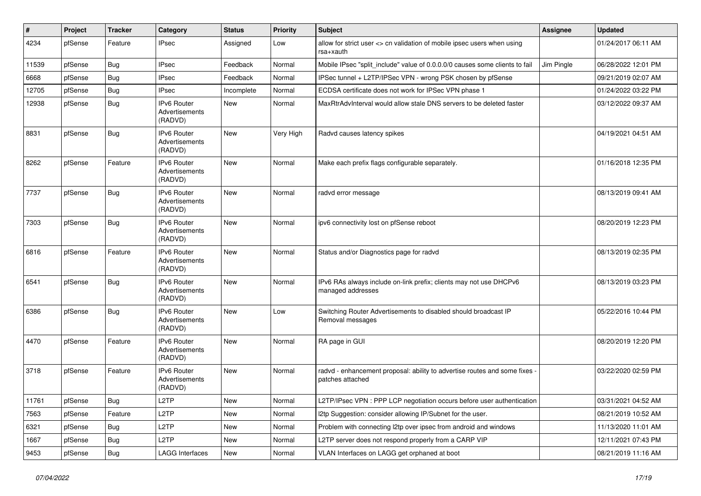| $\vert$ # | Project | <b>Tracker</b> | Category                                        | <b>Status</b> | Priority  | <b>Subject</b>                                                                                 | Assignee   | <b>Updated</b>      |
|-----------|---------|----------------|-------------------------------------------------|---------------|-----------|------------------------------------------------------------------------------------------------|------------|---------------------|
| 4234      | pfSense | Feature        | <b>IPsec</b>                                    | Assigned      | Low       | allow for strict user <> cn validation of mobile ipsec users when using<br>rsa+xauth           |            | 01/24/2017 06:11 AM |
| 11539     | pfSense | <b>Bug</b>     | <b>IPsec</b>                                    | Feedback      | Normal    | Mobile IPsec "split_include" value of 0.0.0.0/0 causes some clients to fail                    | Jim Pingle | 06/28/2022 12:01 PM |
| 6668      | pfSense | <b>Bug</b>     | <b>IPsec</b>                                    | Feedback      | Normal    | IPSec tunnel + L2TP/IPSec VPN - wrong PSK chosen by pfSense                                    |            | 09/21/2019 02:07 AM |
| 12705     | pfSense | Bug            | <b>IPsec</b>                                    | Incomplete    | Normal    | ECDSA certificate does not work for IPSec VPN phase 1                                          |            | 01/24/2022 03:22 PM |
| 12938     | pfSense | <b>Bug</b>     | IPv6 Router<br>Advertisements<br>(RADVD)        | <b>New</b>    | Normal    | MaxRtrAdvInterval would allow stale DNS servers to be deleted faster                           |            | 03/12/2022 09:37 AM |
| 8831      | pfSense | <b>Bug</b>     | IPv6 Router<br>Advertisements<br>(RADVD)        | <b>New</b>    | Very High | Radvd causes latency spikes                                                                    |            | 04/19/2021 04:51 AM |
| 8262      | pfSense | Feature        | IPv6 Router<br>Advertisements<br>(RADVD)        | <b>New</b>    | Normal    | Make each prefix flags configurable separately.                                                |            | 01/16/2018 12:35 PM |
| 7737      | pfSense | <b>Bug</b>     | IPv6 Router<br>Advertisements<br>(RADVD)        | <b>New</b>    | Normal    | radvd error message                                                                            |            | 08/13/2019 09:41 AM |
| 7303      | pfSense | <b>Bug</b>     | <b>IPv6 Router</b><br>Advertisements<br>(RADVD) | <b>New</b>    | Normal    | ipv6 connectivity lost on pfSense reboot                                                       |            | 08/20/2019 12:23 PM |
| 6816      | pfSense | Feature        | <b>IPv6 Router</b><br>Advertisements<br>(RADVD) | <b>New</b>    | Normal    | Status and/or Diagnostics page for radvd                                                       |            | 08/13/2019 02:35 PM |
| 6541      | pfSense | <b>Bug</b>     | <b>IPv6 Router</b><br>Advertisements<br>(RADVD) | <b>New</b>    | Normal    | IPv6 RAs always include on-link prefix; clients may not use DHCPv6<br>managed addresses        |            | 08/13/2019 03:23 PM |
| 6386      | pfSense | <b>Bug</b>     | IPv6 Router<br>Advertisements<br>(RADVD)        | <b>New</b>    | Low       | Switching Router Advertisements to disabled should broadcast IP<br>Removal messages            |            | 05/22/2016 10:44 PM |
| 4470      | pfSense | Feature        | IPv6 Router<br>Advertisements<br>(RADVD)        | <b>New</b>    | Normal    | RA page in GUI                                                                                 |            | 08/20/2019 12:20 PM |
| 3718      | pfSense | Feature        | <b>IPv6 Router</b><br>Advertisements<br>(RADVD) | <b>New</b>    | Normal    | radvd - enhancement proposal: ability to advertise routes and some fixes -<br>patches attached |            | 03/22/2020 02:59 PM |
| 11761     | pfSense | <b>Bug</b>     | L <sub>2</sub> TP                               | New           | Normal    | L2TP/IPsec VPN : PPP LCP negotiation occurs before user authentication                         |            | 03/31/2021 04:52 AM |
| 7563      | pfSense | Feature        | L <sub>2</sub> TP                               | New           | Normal    | I2tp Suggestion: consider allowing IP/Subnet for the user.                                     |            | 08/21/2019 10:52 AM |
| 6321      | pfSense | Bug            | L <sub>2</sub> TP                               | New           | Normal    | Problem with connecting I2tp over ipsec from android and windows                               |            | 11/13/2020 11:01 AM |
| 1667      | pfSense | Bug            | L <sub>2</sub> TP                               | New           | Normal    | L2TP server does not respond properly from a CARP VIP                                          |            | 12/11/2021 07:43 PM |
| 9453      | pfSense | <b>Bug</b>     | <b>LAGG Interfaces</b>                          | New           | Normal    | VLAN Interfaces on LAGG get orphaned at boot                                                   |            | 08/21/2019 11:16 AM |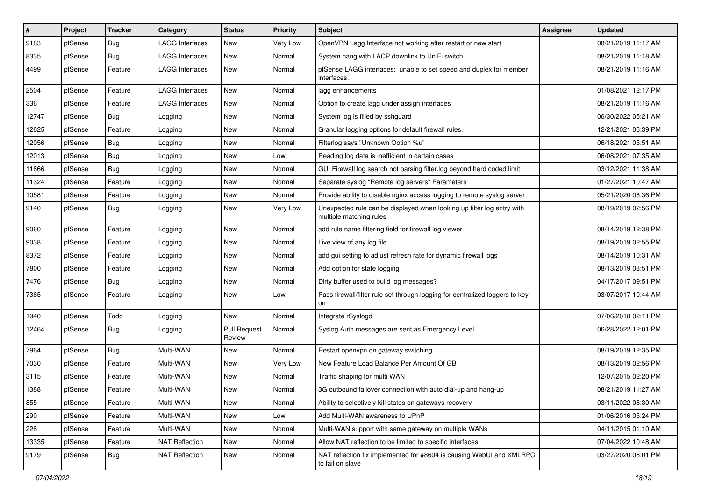| $\vert$ # | Project | <b>Tracker</b> | Category               | <b>Status</b>                 | <b>Priority</b> | <b>Subject</b>                                                                                    | <b>Assignee</b> | <b>Updated</b>      |
|-----------|---------|----------------|------------------------|-------------------------------|-----------------|---------------------------------------------------------------------------------------------------|-----------------|---------------------|
| 9183      | pfSense | <b>Bug</b>     | <b>LAGG Interfaces</b> | New                           | Very Low        | OpenVPN Lagg Interface not working after restart or new start                                     |                 | 08/21/2019 11:17 AM |
| 8335      | pfSense | <b>Bug</b>     | <b>LAGG Interfaces</b> | New                           | Normal          | System hang with LACP downlink to UniFi switch                                                    |                 | 08/21/2019 11:18 AM |
| 4499      | pfSense | Feature        | <b>LAGG Interfaces</b> | New                           | Normal          | pfSense LAGG interfaces; unable to set speed and duplex for member<br>interfaces.                 |                 | 08/21/2019 11:16 AM |
| 2504      | pfSense | Feature        | <b>LAGG Interfaces</b> | <b>New</b>                    | Normal          | lagg enhancements                                                                                 |                 | 01/08/2021 12:17 PM |
| 336       | pfSense | Feature        | <b>LAGG Interfaces</b> | New                           | Normal          | Option to create lagg under assign interfaces                                                     |                 | 08/21/2019 11:16 AM |
| 12747     | pfSense | <b>Bug</b>     | Logging                | <b>New</b>                    | Normal          | System log is filled by sshguard                                                                  |                 | 06/30/2022 05:21 AM |
| 12625     | pfSense | Feature        | Logging                | <b>New</b>                    | Normal          | Granular logging options for default firewall rules.                                              |                 | 12/21/2021 06:39 PM |
| 12056     | pfSense | Bug            | Logging                | New                           | Normal          | Filterlog says "Unknown Option %u"                                                                |                 | 06/18/2021 05:51 AM |
| 12013     | pfSense | <b>Bug</b>     | Logging                | <b>New</b>                    | LOW             | Reading log data is inefficient in certain cases                                                  |                 | 06/08/2021 07:35 AM |
| 11666     | pfSense | <b>Bug</b>     | Logging                | New                           | Normal          | GUI Firewall log search not parsing filter.log beyond hard coded limit                            |                 | 03/12/2021 11:38 AM |
| 11324     | pfSense | Feature        | Logging                | <b>New</b>                    | Normal          | Separate syslog "Remote log servers" Parameters                                                   |                 | 01/27/2021 10:47 AM |
| 10581     | pfSense | Feature        | Logging                | <b>New</b>                    | Normal          | Provide ability to disable nginx access logging to remote syslog server                           |                 | 05/21/2020 08:36 PM |
| 9140      | pfSense | <b>Bug</b>     | Logging                | New                           | Very Low        | Unexpected rule can be displayed when looking up filter log entry with<br>multiple matching rules |                 | 08/19/2019 02:56 PM |
| 9060      | pfSense | Feature        | Logging                | <b>New</b>                    | Normal          | add rule name filtering field for firewall log viewer                                             |                 | 08/14/2019 12:38 PM |
| 9038      | pfSense | Feature        | Logging                | <b>New</b>                    | Normal          | Live view of any log file                                                                         |                 | 08/19/2019 02:55 PM |
| 8372      | pfSense | Feature        | Logging                | <b>New</b>                    | Normal          | add gui setting to adjust refresh rate for dynamic firewall logs                                  |                 | 08/14/2019 10:31 AM |
| 7800      | pfSense | Feature        | Logging                | New                           | Normal          | Add option for state logging                                                                      |                 | 08/13/2019 03:51 PM |
| 7476      | pfSense | Bug            | Logging                | <b>New</b>                    | Normal          | Dirty buffer used to build log messages?                                                          |                 | 04/17/2017 09:51 PM |
| 7365      | pfSense | Feature        | Logging                | <b>New</b>                    | Low             | Pass firewall/filter rule set through logging for centralized loggers to key<br>on                |                 | 03/07/2017 10:44 AM |
| 1940      | pfSense | Todo           | Logging                | <b>New</b>                    | Normal          | Integrate rSyslogd                                                                                |                 | 07/06/2018 02:11 PM |
| 12464     | pfSense | <b>Bug</b>     | Logging                | <b>Pull Request</b><br>Review | Normal          | Syslog Auth messages are sent as Emergency Level                                                  |                 | 06/28/2022 12:01 PM |
| 7964      | pfSense | Bug            | Multi-WAN              | <b>New</b>                    | Normal          | Restart openvpn on gateway switching                                                              |                 | 08/19/2019 12:35 PM |
| 7030      | pfSense | Feature        | Multi-WAN              | New                           | Very Low        | New Feature Load Balance Per Amount Of GB                                                         |                 | 08/13/2019 02:56 PM |
| 3115      | pfSense | Feature        | Multi-WAN              | <b>New</b>                    | Normal          | Traffic shaping for multi WAN                                                                     |                 | 12/07/2015 02:20 PM |
| 1388      | pfSense | Feature        | Multi-WAN              | <b>New</b>                    | Normal          | 3G outbound failover connection with auto dial-up and hang-up                                     |                 | 08/21/2019 11:27 AM |
| 855       | pfSense | Feature        | Multi-WAN              | New                           | Normal          | Ability to selectively kill states on gateways recovery                                           |                 | 03/11/2022 08:30 AM |
| 290       | pfSense | Feature        | Multi-WAN              | New                           | Low             | Add Multi-WAN awareness to UPnP                                                                   |                 | 01/06/2016 05:24 PM |
| 228       | pfSense | Feature        | Multi-WAN              | New                           | Normal          | Multi-WAN support with same gateway on multiple WANs                                              |                 | 04/11/2015 01:10 AM |
| 13335     | pfSense | Feature        | <b>NAT Reflection</b>  | New                           | Normal          | Allow NAT reflection to be limited to specific interfaces                                         |                 | 07/04/2022 10:48 AM |
| 9179      | pfSense | Bug            | <b>NAT Reflection</b>  | New                           | Normal          | NAT reflection fix implemented for #8604 is causing WebUI and XMLRPC<br>to fail on slave          |                 | 03/27/2020 08:01 PM |